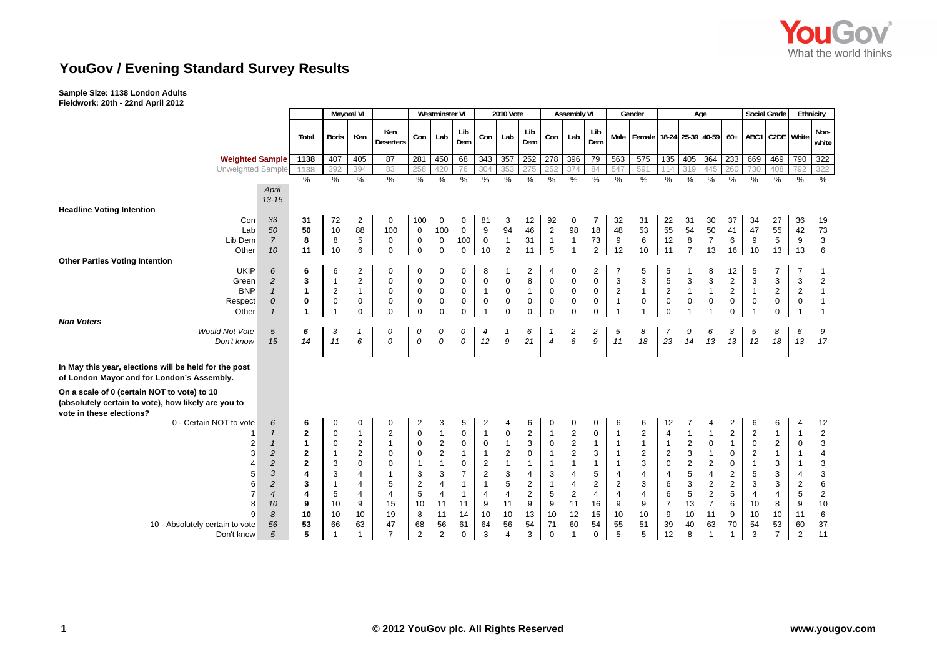

# **YouGov / Evening Standard Survey Results**

## **Sample Size: 1138 London Adults**

**Fieldwork: 20th - 22nd April 2012**

|                                                                                                     |                      |                | <b>Mayoral VI</b> |                |                         |                         | <b>Westminster VI</b> |                |                   | <b>2010 Vote</b>               |                         |                                | <b>Assembly VI</b>           |                |                | Gender                                      |                  | Age                       |                  |                | <b>Social Grade</b>     |                 | Ethnicity      |                           |
|-----------------------------------------------------------------------------------------------------|----------------------|----------------|-------------------|----------------|-------------------------|-------------------------|-----------------------|----------------|-------------------|--------------------------------|-------------------------|--------------------------------|------------------------------|----------------|----------------|---------------------------------------------|------------------|---------------------------|------------------|----------------|-------------------------|-----------------|----------------|---------------------------|
|                                                                                                     |                      | Total          | <b>Boris</b>      | Ken            | Ken<br><b>Deserters</b> | Con                     | Lab                   | Lib<br>Dem     | Con               | Lab                            | Lib<br>Dem              | Con                            | Lab                          | Lib<br>Dem     |                | Male   Female   18-24   25-39   40-59   60+ |                  |                           |                  |                |                         | ABC1 C2DE White |                | Non-<br>white             |
| <b>Weighted Sample</b>                                                                              |                      | 1138           | 407               | 405            | $\overline{87}$         | 281                     | 450                   | 68             | 343               | 357                            | 252                     | 278                            | 396                          | 79             | 563            | 575                                         | $\overline{135}$ | 405 364                   |                  | 233 669        |                         | 469             | 790            | 322                       |
| Unweighted Sample                                                                                   |                      | 1138           | 392               | 394            | 83                      | 258                     | 420                   | 76             | 304               |                                | 275                     | 252                            | 374                          | 84             |                | 591                                         | 114              | 319                       |                  | 260            | 730                     | 408             | 792            | 322                       |
|                                                                                                     |                      | %              | %                 | %              | %                       | %                       | %                     | $\%$           | $\%$              | $\%$                           | %                       | %                              | %                            | %              | $\%$           | %                                           | $\%$             | $\%$                      | %                | %              | %                       | $\%$            | %              | %                         |
|                                                                                                     | April                |                |                   |                |                         |                         |                       |                |                   |                                |                         |                                |                              |                |                |                                             |                  |                           |                  |                |                         |                 |                |                           |
|                                                                                                     | $13 - 15$            |                |                   |                |                         |                         |                       |                |                   |                                |                         |                                |                              |                |                |                                             |                  |                           |                  |                |                         |                 |                |                           |
| <b>Headline Voting Intention</b>                                                                    |                      |                |                   |                |                         |                         |                       |                |                   |                                |                         |                                |                              |                |                |                                             |                  |                           |                  |                |                         |                 |                |                           |
| Con                                                                                                 | 33                   | 31             | 72                | $\overline{2}$ | 0                       | 100                     | 0                     | 0              | 81                | 3                              | 12                      | 92                             | 0                            | $\overline{7}$ | 32             | 31                                          | 22               | 31                        | 30               | 37             | 34                      | 27              | 36             | 19                        |
| Lab<br>Lib Dem                                                                                      | 50<br>$\overline{7}$ | 50             | 10                | 88             | 100                     | $\mathbf 0$             | 100                   | $\mathbf 0$    | 9                 | 94                             | 46                      | $\sqrt{2}$                     | 98                           | 18             | 48             | 53                                          | 55               | 54                        | 50               | 41             | 47                      | 55<br>5         | 42             | 73                        |
|                                                                                                     |                      | 8              | 8<br>10           | 5              | 0                       | $\mathbf 0$             | $\mathbf 0$           | 100            | $\mathbf 0$<br>10 | $\mathbf{1}$<br>$\overline{2}$ | 31                      | $\mathbf{1}$<br>$\overline{5}$ | $\mathbf{1}$<br>$\mathbf{1}$ | 73             | 9              | 6                                           | 12               | 8<br>$\overline{7}$       | $\overline{7}$   | 6              | 9                       |                 | 9              | 3                         |
| Other<br><b>Other Parties Voting Intention</b>                                                      | 10                   | 11             |                   | 6              | $\mathbf 0$             | $\mathbf 0$             | $\mathbf 0$           | $\mathbf 0$    |                   |                                | 11                      |                                |                              | 2              | 12             | 10                                          | 11               |                           | 13               | 16             | 10                      | 13              | 13             | $6\phantom{1}$            |
| <b>UKIP</b>                                                                                         | 6                    | 6              | 6                 | 2              | 0                       | 0                       | 0                     | 0              | 8                 | -1                             | $\overline{\mathbf{c}}$ | $\overline{4}$                 | 0                            | 2              |                | 5                                           | 5                |                           | 8                | 12             | 5                       | $\overline{7}$  | $\overline{7}$ | 1                         |
| Green                                                                                               | $\overline{c}$       | 3              | $\mathbf{1}$      | $\overline{2}$ | $\Omega$                | $\mathbf 0$             | $\mathsf 0$           | 0              | $\mathbf 0$       | $\pmb{0}$                      | 8                       | $\mathbf 0$                    | $\pmb{0}$                    | $\mathsf 0$    | 3              | 3                                           | $\overline{5}$   | 3                         | 3                | $\overline{2}$ | 3                       | 3               | 3              | $\sqrt{2}$                |
| <b>BNP</b>                                                                                          | $\mathbf{1}$         | 1              | $\overline{2}$    | $\overline{1}$ | $\mathbf 0$             | 0                       | $\mathbf 0$           | 0              | $\mathbf{1}$      | $\mathbf 0$                    | $\mathbf{1}$            | $\mathbf 0$                    | $\pmb{0}$                    | $\pmb{0}$      | $\overline{2}$ | $\mathbf{1}$                                | $\sqrt{2}$       | $\overline{1}$            | $\overline{1}$   | $\overline{2}$ | $\mathbf{1}$            | $\overline{2}$  | $\overline{2}$ | $\mathbf{1}$              |
| Respect                                                                                             | 0                    | 0              | $\pmb{0}$         | $\pmb{0}$      | $\mathbf 0$             | $\mathbf 0$             | $\pmb{0}$             | 0              | $\mathbf 0$       | $\pmb{0}$                      | $\pmb{0}$               | $\pmb{0}$                      | $\pmb{0}$                    | $\mathsf 0$    | $\overline{1}$ | 0                                           | $\pmb{0}$        | $\pmb{0}$                 | $\boldsymbol{0}$ | 0              | $\boldsymbol{0}$        | $\mathsf 0$     | $\mathbf 0$    | $\mathbf{1}$              |
| Other                                                                                               | $\mathbf{1}$         | -1             | $\mathbf{1}$      | $\mathbf 0$    | $\Omega$                | $\mathbf 0$             | $\mathbf 0$           | $\mathbf 0$    | $\overline{1}$    | $\mathbf{0}$                   | $\Omega$                | $\mathbf 0$                    | $\mathbf 0$                  | $\mathsf 0$    | $\overline{1}$ | $\overline{1}$                              | $\mathbf 0$      | $\overline{1}$            | $\overline{1}$   | $\mathbf 0$    |                         | $\mathbf 0$     | $\overline{1}$ | $\mathbf{1}$              |
| <b>Non Voters</b>                                                                                   |                      |                |                   |                |                         |                         |                       |                |                   |                                |                         |                                |                              |                |                |                                             |                  |                           |                  |                |                         |                 |                |                           |
| <b>Would Not Vote</b>                                                                               | 5                    | 6              | 3                 |                | 0                       | 0                       | 0                     | 0              | 4                 | 1                              | 6                       | 1                              | 2                            | $\overline{c}$ | 5              | 8                                           | 7                | 9                         | 6                | 3              | 5                       | 8               | 6              | 9                         |
| Don't know                                                                                          | 15                   | 14             | 11                | 6              | 0                       | 0                       | 0                     | 0              | 12                | 9                              | 21                      | $\overline{4}$                 | 6                            | 9              | 11             | 18                                          | 23               | 14                        | 13               | 13             | 12                      | 18              | 13             | 17                        |
|                                                                                                     |                      |                |                   |                |                         |                         |                       |                |                   |                                |                         |                                |                              |                |                |                                             |                  |                           |                  |                |                         |                 |                |                           |
| In May this year, elections will be held for the post<br>of London Mayor and for London's Assembly. |                      |                |                   |                |                         |                         |                       |                |                   |                                |                         |                                |                              |                |                |                                             |                  |                           |                  |                |                         |                 |                |                           |
| On a scale of 0 (certain NOT to vote) to 10                                                         |                      |                |                   |                |                         |                         |                       |                |                   |                                |                         |                                |                              |                |                |                                             |                  |                           |                  |                |                         |                 |                |                           |
| (absolutely certain to vote), how likely are you to<br>vote in these elections?                     |                      |                |                   |                |                         |                         |                       |                |                   |                                |                         |                                |                              |                |                |                                             |                  |                           |                  |                |                         |                 |                |                           |
| 0 - Certain NOT to vote                                                                             | 6                    | 6              | 0                 | 0              | 0                       | $\overline{\mathbf{c}}$ | 3                     | 5              | 2                 | $\overline{4}$                 | 6                       | 0                              | 0                            | 0              | 6              | 6                                           | 12               |                           | 4                | 2              | 6                       | 6               | 4              | 12                        |
|                                                                                                     | $\mathbf{1}$         | $\overline{2}$ | $\mathbf 0$       | $\mathbf{1}$   | $\overline{2}$          | $\pmb{0}$               | $\mathbf{1}$          | 0              | $\mathbf{1}$      | $\mathbf 0$                    | $\overline{2}$          | $\mathbf{1}$                   | $\boldsymbol{2}$             | $\pmb{0}$      | $\overline{1}$ | $\overline{c}$                              | $\overline{4}$   | $\overline{1}$            | $\overline{1}$   | $\overline{c}$ | $\overline{\mathbf{c}}$ | $\mathbf{1}$    | $\overline{1}$ | $\sqrt{2}$                |
|                                                                                                     | $\mathbf{1}$         | 1              | 0                 | $\sqrt{2}$     |                         | $\mathbf 0$             | $\boldsymbol{2}$      | 0              | $\mathsf 0$       | $\mathbf{1}$                   | 3                       | $\pmb{0}$                      | $\boldsymbol{2}$             | $\mathbf{1}$   | -1             | $\mathbf{1}$                                | $\mathbf{1}$     | $\boldsymbol{2}$          | $\boldsymbol{0}$ | $\mathbf{1}$   | $\pmb{0}$               | $\overline{2}$  | $\mathbf 0$    | $\ensuremath{\mathsf{3}}$ |
| 3                                                                                                   | $\overline{c}$       | $\overline{2}$ | $\mathbf{1}$      | $\overline{c}$ | $\mathbf 0$             | $\mathbf 0$             | $\overline{c}$        | $\mathbf{1}$   | $\mathbf{1}$      | $\overline{2}$                 | $\mathbf 0$             | $\mathbf{1}$                   | $\overline{c}$               | 3              | $\overline{1}$ | $\overline{2}$                              | $\overline{2}$   | $\ensuremath{\mathsf{3}}$ | $\overline{1}$   | 0              | $\overline{c}$          | $\mathbf{1}$    | $\mathbf{1}$   | $\overline{\mathbf{4}}$   |
|                                                                                                     | $\overline{c}$       | $\overline{2}$ | 3                 | $\mathbf 0$    | $\Omega$                | $\overline{1}$          | $\mathbf{1}$          | 0              | $\sqrt{2}$        | $\mathbf{1}$                   | $\mathbf{1}$            | $\mathbf{1}$                   | $\mathbf{1}$                 | $\mathbf{1}$   | -1             | 3                                           | $\mathbf 0$      | $\boldsymbol{2}$          | 2                | $\mathbf 0$    |                         | 3               | $\overline{1}$ | $\ensuremath{\mathsf{3}}$ |
|                                                                                                     | $\sqrt{3}$           | 4              | 3                 | 4              |                         | 3                       | 3                     | $\overline{7}$ | $\sqrt{2}$        | 3                              | 4                       | 3                              | 4                            | 5              | $\overline{4}$ | 4                                           | $\overline{4}$   | 5                         | 4                | $\overline{2}$ | 5                       | 3               | $\overline{4}$ | $\ensuremath{\mathsf{3}}$ |
| 6                                                                                                   | $\sqrt{2}$           | 3              | $\mathbf{1}$      | $\overline{4}$ | 5                       | $\overline{c}$          | 4                     | 1              | $\mathbf{1}$      | 5                              | $\overline{2}$          | $\mathbf{1}$                   | $\overline{\mathbf{4}}$      | $\overline{2}$ | $\sqrt{2}$     | 3                                           | $6\phantom{1}6$  | 3                         | $\overline{c}$   | $\overline{2}$ | 3                       | $\mathsf 3$     | $\sqrt{2}$     | $\,6$                     |
| 7                                                                                                   | $\boldsymbol{4}$     | 4              | 5                 | 4              | $\overline{4}$          | 5                       | 4                     | $\mathbf{1}$   | $\overline{4}$    | $\overline{4}$                 | 2                       | $\sqrt{5}$                     | $\sqrt{2}$                   | $\overline{4}$ | $\overline{4}$ | 4                                           | 6                | 5                         | 2                | 5              | 4                       | $\overline{4}$  | 5              | $\overline{\mathbf{c}}$   |
| 8                                                                                                   | 10                   | 9              | 10                | 9              | 15                      | 10                      | 11                    | 11             | 9                 | 11                             | 9                       | 9                              | 11                           | 16             | 9              | 9                                           | $\overline{7}$   | 13                        | $\overline{7}$   | 6              | 10                      | 8               | 9              | $10$                      |
| q                                                                                                   | 8                    | 10             | 10                | 10             | 19                      | 8                       | 11                    | 14             | 10                | 10                             | 13                      | 10                             | 12                           | 15             | 10             | 10                                          | 9                | 10                        | 11               | 9              | 10                      | 10              | 11             | 6                         |
| 10 - Absolutely certain to vote                                                                     | 56                   | 53             | 66                | 63             | 47                      | 68                      | 56                    | 61             | 64                | 56                             | 54                      | 71                             | 60                           | 54             | 55             | 51                                          | 39               | 40                        | 63               | 70             | 54                      | 53              | 60             | 37                        |
| Don't know                                                                                          | 5                    | 5              | $\mathbf{1}$      | 1              | $\overline{7}$          | $\overline{2}$          | $\overline{2}$        | 0              | 3                 | $\overline{4}$                 | 3                       | $\mathbf 0$                    | 1                            | $\mathbf 0$    | 5              | 5                                           | 12               | 8                         | $\overline{1}$   | 1              | 3                       | $\overline{7}$  | $\overline{2}$ | 11                        |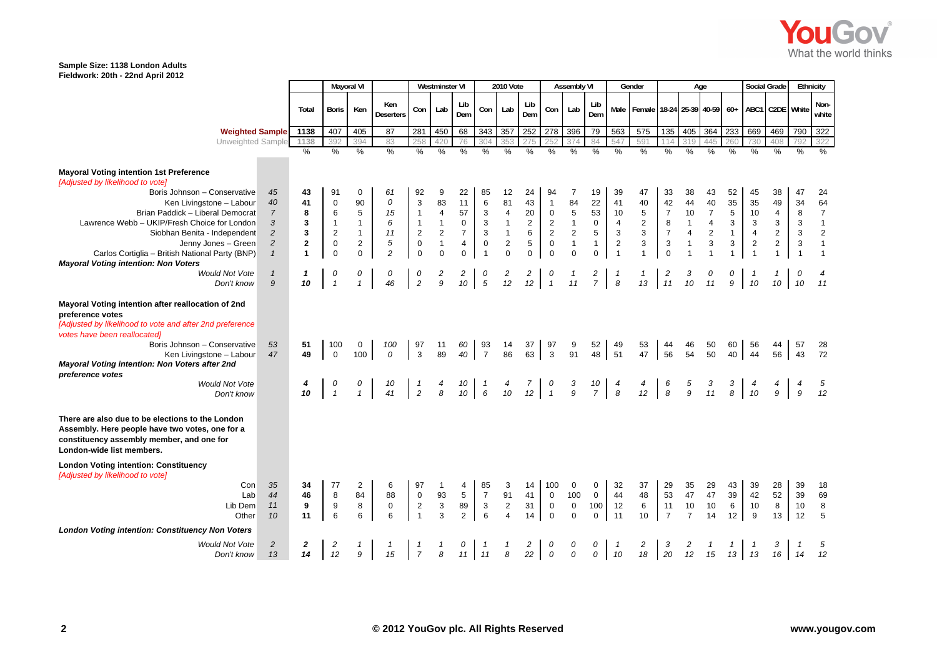

|                                                                                                                                                                                                                                                                                                                                                         |                         | Mayoral VI       |                |                         |                           | <b>Westminster VI</b>     |                                    |                           | <b>2010 Vote</b>                          |                     |                                                        | <b>Assembly VI</b>       |                            |                           | Gender                       |                           | Age                            |                |                    | Social Grade    |                         | Ethnicity      |                |
|---------------------------------------------------------------------------------------------------------------------------------------------------------------------------------------------------------------------------------------------------------------------------------------------------------------------------------------------------------|-------------------------|------------------|----------------|-------------------------|---------------------------|---------------------------|------------------------------------|---------------------------|-------------------------------------------|---------------------|--------------------------------------------------------|--------------------------|----------------------------|---------------------------|------------------------------|---------------------------|--------------------------------|----------------|--------------------|-----------------|-------------------------|----------------|----------------|
|                                                                                                                                                                                                                                                                                                                                                         | Total                   | <b>Boris</b>     | Ken            | Ken<br><b>Deserters</b> | Con                       | Lab                       | Lib<br>Dem                         | Con                       | Lab                                       | Lib<br>Dem          | Con                                                    | Lab                      | Lib<br>Dem                 | Male                      | Female 18-24 25-39 40-59 60+ |                           |                                |                |                    | ABC1 C2DE White |                         |                | Non-<br>white  |
| <b>Weighted Sample</b>                                                                                                                                                                                                                                                                                                                                  | 1138                    | 407              | 405            | 87                      | 281                       | 450                       | 68                                 | 343                       | 357                                       | 252                 | 278 396                                                |                          | 79                         | 563                       | 575                          | 135                       | 405                            | 364            | 233                | 669             | 469                     | 790            | 322            |
| Unweighted Sample                                                                                                                                                                                                                                                                                                                                       | 1138                    | 392              | 394            | 83                      | 258                       | 420                       | 76                                 | 304                       | 353                                       |                     |                                                        | 374                      | 84                         | 547                       | 591                          |                           | 319                            | 445            | 260                | 730             | 408                     | 792            | 322            |
|                                                                                                                                                                                                                                                                                                                                                         | $\frac{1}{2}$           | $\frac{9}{6}$    | $\frac{9}{6}$  | $\frac{9}{6}$           | $\frac{9}{6}$             | $\frac{9}{6}$             | $\frac{9}{6}$                      | $\frac{0}{0}$             | $\frac{0}{0}$                             | $\frac{0}{0}$       | $\frac{0}{0}$                                          | $\frac{0}{0}$            | $\frac{9}{6}$              | $\frac{0}{0}$             | $\frac{9}{6}$                | %                         | %                              | %              | $\frac{9}{6}$      | $\frac{9}{6}$   | $\frac{0}{0}$           | $\frac{0}{0}$  | $\frac{0}{0}$  |
| <b>Mayoral Voting intention 1st Preference</b><br>[Adjusted by likelihood to vote]<br>Boris Johnson - Conservative<br>45                                                                                                                                                                                                                                | 43                      | 91               | 0              | 61                      | 92                        | 9                         | 22                                 | 85                        | 12                                        | 24                  | 94                                                     | 7                        | 19                         | 39                        | 47                           | 33                        | 38                             | 43             | 52                 | 45              | 38                      | 47             | 24             |
| 40<br>Ken Livingstone - Labour                                                                                                                                                                                                                                                                                                                          | 41                      | 0                | 90             | 0                       | 3                         | 83                        | 11                                 | $6\phantom{1}6$           | 81                                        | 43                  | $\mathbf{1}$                                           | 84                       | 22                         | 41                        | 40                           | 42                        | 44                             | 40             | 35                 | 35              | 49                      | 34             | 64             |
| Brian Paddick - Liberal Democrat<br>$\overline{7}$                                                                                                                                                                                                                                                                                                      | 8                       | 6                | 5              | 15                      | $\mathbf{1}$              | $\overline{\mathbf{4}}$   | 57                                 | 3                         | $\overline{\mathbf{4}}$                   | 20                  | $\boldsymbol{0}$                                       | $\,$ 5 $\,$              | 53                         | 10                        | 5                            | $\overline{7}$            | 10                             | $\overline{7}$ | $\,$ 5 $\,$        | $10$            | $\overline{4}$          | 8              | $\overline{7}$ |
| Lawrence Webb - UKIP/Fresh Choice for London<br>3                                                                                                                                                                                                                                                                                                       | 3                       | $\mathbf{1}$     | $\mathbf{1}$   | 6                       | $\mathbf{1}$              | $\mathbf{1}$              | $\mathbf 0$                        | 3                         | $\mathbf{1}$                              | $\sqrt{2}$          | $\overline{2}$                                         | $\mathbf{1}$             | $\mathbf 0$                | $\overline{4}$            | $\overline{2}$               | 8                         | 1                              | $\sqrt{4}$     | 3                  | $\sqrt{3}$      | 3                       | 3              | $\mathbf{1}$   |
| $\overline{c}$<br>Siobhan Benita - Independent                                                                                                                                                                                                                                                                                                          | 3                       | $\overline{2}$   | $\mathbf{1}$   | 11                      | $\boldsymbol{2}$          | $\sqrt{2}$                | $\overline{7}$                     | $\mathsf 3$               | $\mathbf{1}$                              | $\,6\,$             | $\sqrt{2}$                                             | $\overline{2}$           | 5                          | $\ensuremath{\mathsf{3}}$ | $\ensuremath{\mathsf{3}}$    | $\boldsymbol{7}$          | $\overline{\mathbf{4}}$        | $\sqrt{2}$     | $\mathbf{1}$       | $\overline{4}$  | $\overline{\mathbf{c}}$ | $\mathbf{3}$   | $\overline{2}$ |
| Jenny Jones - Green<br>$\overline{c}$                                                                                                                                                                                                                                                                                                                   | $\overline{\mathbf{2}}$ | $\mathbf 0$      | $\overline{2}$ | 5                       | $\pmb{0}$                 | $\mathbf{1}$              | $\overline{4}$                     | $\mathbf 0$               | $\mathbf 2$                               | $\mathbf 5$         | $\mathbf 0$                                            | $\mathbf{1}$             | $\mathbf{1}$               | $\overline{2}$            | $\ensuremath{\mathsf{3}}$    | 3                         | $\mathbf{1}$                   | $\mathsf 3$    | 3                  | $\sqrt{2}$      | $\overline{\mathbf{c}}$ | 3              | $\mathbf{1}$   |
| Carlos Cortiglia - British National Party (BNP)<br>$\mathbf{1}$<br><b>Mayoral Voting intention: Non Voters</b>                                                                                                                                                                                                                                          | $\overline{1}$          | 0                | $\mathbf 0$    | $\overline{c}$          | $\mathbf 0$               | $\mathbf 0$               | $\mathbf 0$                        | $\overline{1}$            | $\mathbf 0$                               | $\mathbf 0$         | $\mathbf 0$                                            | $\mathbf 0$              | $\mathbf{0}$               | $\overline{1}$            | $\overline{1}$               | $\pmb{0}$                 | $\mathbf{1}$                   | $\overline{1}$ | $\overline{1}$     |                 | $\mathbf{1}$            | $\overline{1}$ | $\mathbf{1}$   |
| <b>Would Not Vote</b><br>$\mathbf{1}$                                                                                                                                                                                                                                                                                                                   |                         | 0                | 0              | 0                       | 0                         | $\overline{c}$            | 2                                  | 0                         | 2                                         | $\overline{c}$      | 0                                                      |                          | 2                          | $\mathbf{1}$              | $\mathbf{1}$                 | $\overline{c}$            |                                | 0              | 0                  |                 |                         |                |                |
| 9<br>Don't know                                                                                                                                                                                                                                                                                                                                         | 10                      | $\mathbf{1}$     |                | 46                      | $\sqrt{2}$                | 9                         | 10                                 | $\sqrt{5}$                | 12                                        | 12                  | $\overline{1}$                                         | 11                       | $\overline{7}$             | $\boldsymbol{8}$          | 13                           | 11                        | 10                             | 11             | 9                  | 10              | 10                      |                | 11             |
| Mayoral Voting intention after reallocation of 2nd<br>preference votes<br>[Adjusted by likelihood to vote and after 2nd preference<br>votes have been reallocated)<br>Boris Johnson - Conservative<br>53<br>47<br>Ken Livingstone - Labour<br>Mayoral Voting intention: Non Voters after 2nd<br>preference votes<br><b>Would Not Vote</b><br>Don't know | 51<br>49                | 100<br>$\Omega$  | 0<br>100       | 100<br>0<br>41          | 97<br>3<br>$\overline{2}$ | 11<br>89<br>8             | 60<br>40<br>10<br>10 <sup>10</sup> | 93<br>$\overline{7}$<br>6 | 14<br>86<br>10                            | 37<br>63<br>7<br>12 | 97<br>$\mathbf{3}$<br>$\boldsymbol{o}$<br>$\mathbf{1}$ | 9<br>91<br>$\frac{3}{9}$ | 52<br>48<br>$\frac{10}{7}$ | 49<br>51<br>4<br>8        | 53<br>47<br>12               | 44<br>56<br>$\frac{6}{8}$ | 46<br>54<br>5<br>$\mathfrak g$ | 50<br>50<br>11 | 60<br>40<br>3<br>8 | 56<br>44<br>10  | 44<br>56<br>9           | 57<br>43<br>9  | 28<br>72<br>12 |
| There are also due to be elections to the London<br>Assembly. Here people have two votes, one for a<br>constituency assembly member, and one for<br>London-wide list members.                                                                                                                                                                           |                         |                  |                |                         |                           |                           |                                    |                           |                                           |                     |                                                        |                          |                            |                           |                              |                           |                                |                |                    |                 |                         |                |                |
| <b>London Voting intention: Constituency</b><br>[Adjusted by likelihood to vote]                                                                                                                                                                                                                                                                        |                         |                  |                |                         |                           |                           |                                    |                           |                                           |                     |                                                        |                          |                            |                           |                              |                           |                                |                |                    |                 |                         |                |                |
| Con<br>35                                                                                                                                                                                                                                                                                                                                               | 34                      | 77               | 2              | 6                       | 97                        |                           | 4                                  | 85                        | 3                                         | 14                  | 100                                                    | 0                        | 0                          | 32                        | 37                           | 29                        | 35                             | 29             | 43                 | 39              | 28                      | 39             | 18             |
| 44<br>Lab                                                                                                                                                                                                                                                                                                                                               | 46                      | $\,8\,$          | 84             | 88                      | $\mathbf 0$               | 93                        | $\,$ 5 $\,$                        | $\overline{7}$            | 91                                        | 41                  | $\mathbf 0$                                            | 100                      | $\mathsf 0$                | 44                        | 48                           | 53                        | 47                             | 47             | 39                 | 42              | 52                      | 39             | 69             |
| Lib Dem<br>11                                                                                                                                                                                                                                                                                                                                           | 9                       | $\boldsymbol{9}$ | 8              | $\pmb{0}$               | $\overline{2}$            | $\ensuremath{\mathsf{3}}$ | 89                                 | $\mathbf{3}$              | $\overline{2}$<br>$\overline{\mathbf{4}}$ | 31                  | $\mathbf 0$                                            | $\mathbf 0$              | 100                        | 12                        | $\,6\,$                      | 11                        | 10                             | $10$           | 6                  | 10              | 8                       | 10             | 8              |
| 10<br>Other                                                                                                                                                                                                                                                                                                                                             | 11                      | 6                |                | 6                       | $\mathbf{1}$              | 3                         | $\overline{2}$                     | $6\phantom{1}6$           |                                           | 14                  | $\mathbf 0$                                            | $\mathbf 0$              | $\mathbf 0$                | 11                        | 10                           | $\overline{7}$            | $\overline{7}$                 | 14             | 12                 | 9               | 13                      | 12             | $\,$ 5 $\,$    |
| <b>London Voting intention: Constituency Non Voters</b>                                                                                                                                                                                                                                                                                                 |                         |                  |                |                         |                           |                           |                                    |                           |                                           |                     |                                                        |                          |                            |                           |                              |                           |                                |                |                    |                 |                         |                |                |
| $\overline{c}$<br><b>Would Not Vote</b>                                                                                                                                                                                                                                                                                                                 | 2                       | 2                |                |                         |                           |                           |                                    |                           |                                           | 2                   | 0                                                      | 0                        | 0                          | $\overline{1}$            | 2                            | 3                         | 2                              | 1              | 1                  |                 | 3                       |                | 5              |
| 13<br>Don't know                                                                                                                                                                                                                                                                                                                                        | 14                      | 12               |                | 15                      | $\overline{7}$            | 8                         | $11$ 11                            |                           | 8                                         | 22                  | $\mathcal{O}$                                          | $\mathcal{O}$            | 0                          | 10                        | 18                           | 20                        | 12                             | 15             |                    | 13 13           | 16                      | 14             | 12             |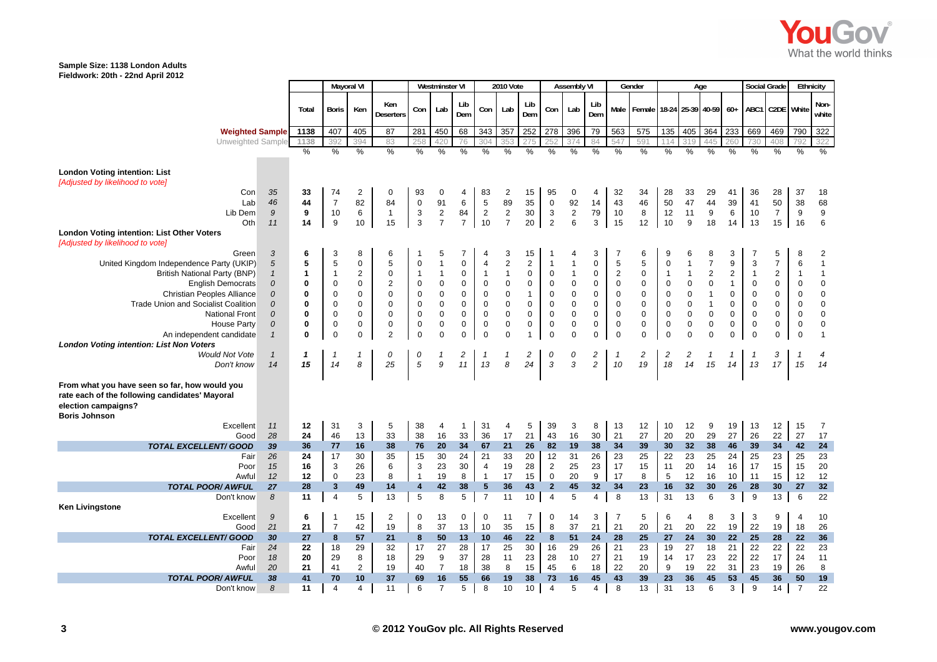

|                                                                                                                                                  |                                      |                             |                             | Mayoral VI                                                  |                                                   |                                | Westminster VI                                  |                            |                                                            | <b>2010 Vote</b>                                           |                                                        |                                       | <b>Assembly VI</b>                                        |                  |                                         | Gender                                     |                             |                                               | Age                                                   |                                              |                             | Social Grade                  |                                               | <b>Ethnicity</b>                                       |
|--------------------------------------------------------------------------------------------------------------------------------------------------|--------------------------------------|-----------------------------|-----------------------------|-------------------------------------------------------------|---------------------------------------------------|--------------------------------|-------------------------------------------------|----------------------------|------------------------------------------------------------|------------------------------------------------------------|--------------------------------------------------------|---------------------------------------|-----------------------------------------------------------|------------------|-----------------------------------------|--------------------------------------------|-----------------------------|-----------------------------------------------|-------------------------------------------------------|----------------------------------------------|-----------------------------|-------------------------------|-----------------------------------------------|--------------------------------------------------------|
|                                                                                                                                                  |                                      | Total                       | Boris                       | Ken                                                         | Ken<br><b>Deserters</b>                           | Con                            | Lab                                             | Lib<br>Dem                 | Con                                                        | Lab                                                        | Lib<br>Dem                                             | Con                                   | Lab                                                       | Lib<br>Dem       | Male                                    | Female 18-24 25-39 40-59                   |                             |                                               |                                                       | $60+$                                        | ABC1                        | C2DE White                    |                                               | Non-<br>white                                          |
| <b>Weighted Sample</b>                                                                                                                           |                                      | 1138                        | 407                         | 405                                                         | 87                                                | 281                            | 450                                             | 68                         | 343                                                        | 357                                                        | 252                                                    | 278                                   | 396                                                       | 79               | 563                                     | 575                                        | 135                         | 405                                           | 364                                                   | 233                                          | 669                         | 469                           | 790                                           | 322                                                    |
| Unweighted Sample                                                                                                                                |                                      | 1138                        | 392                         | 394                                                         | 83                                                | 258                            | 420                                             | 76                         | 304                                                        | 353                                                        | 275                                                    | 252                                   | 374                                                       | 84               | 547                                     | 591                                        | 14                          | 319                                           | 445                                                   | 260                                          | 730                         | 408                           | 792                                           | 322                                                    |
|                                                                                                                                                  |                                      | $\frac{0}{0}$               | $\%$                        | %                                                           | $\%$                                              | %                              | $\%$                                            | %                          | %                                                          | %                                                          | $\%$                                                   | $\%$                                  | $\%$                                                      | $\%$             | $\%$                                    | $\%$                                       | $\%$                        | $\%$                                          | %                                                     | $\%$                                         | $\%$                        | %                             | $\%$                                          | $\%$                                                   |
| <b>London Voting intention: List</b><br>[Adjusted by likelihood to vote]<br>Con                                                                  | 35                                   | 33                          | 74                          | $\overline{2}$                                              | 0                                                 | 93                             | 0                                               | 4                          | 83                                                         | $\overline{\mathbf{c}}$                                    | 15                                                     | 95                                    | 0                                                         | 4                | 32                                      | 34                                         | 28                          | 33                                            | 29                                                    | 41                                           | 36                          | 28                            | 37                                            | 18                                                     |
| Lab                                                                                                                                              | 46                                   | 44                          | $\overline{7}$              | 82                                                          | 84                                                | $\boldsymbol{0}$               | 91                                              | 6                          | $\overline{5}$                                             | 89                                                         | 35                                                     | $\mathbf 0$                           | 92                                                        | 14               | 43                                      | 46                                         | 50                          | 47                                            | 44                                                    | 39                                           | 41                          | 50                            | 38                                            | 68                                                     |
| Lib Dem                                                                                                                                          | 9                                    | 9                           | 10                          | 6                                                           | $\mathbf{1}$                                      | $\ensuremath{\mathsf{3}}$      | $\sqrt{2}$                                      | 84                         | $\overline{2}$                                             | $\boldsymbol{2}$                                           | 30                                                     | 3                                     | $\sqrt{2}$                                                | 79               | 10                                      | 8                                          | 12                          | 11                                            | $\boldsymbol{9}$                                      | 6                                            | 10                          | $\overline{7}$                | 9                                             | $\boldsymbol{9}$                                       |
| Oth                                                                                                                                              | 11                                   | 14                          | 9                           | 10                                                          | 15                                                | 3                              | $\overline{7}$                                  | $\overline{7}$             | 10                                                         | $\overline{7}$                                             | 20                                                     | $\overline{2}$                        | 6                                                         | 3                | 15                                      | 12                                         | 10                          | 9                                             | 18                                                    | 14                                           | 13                          | 15                            | 16                                            | 6                                                      |
| <b>London Voting intention: List Other Voters</b><br>[Adjusted by likelihood to vote]                                                            |                                      |                             |                             |                                                             |                                                   |                                |                                                 |                            |                                                            |                                                            |                                                        |                                       |                                                           |                  |                                         |                                            |                             |                                               |                                                       |                                              |                             |                               |                                               |                                                        |
| Green                                                                                                                                            | 3                                    | 6                           | 3                           | 8                                                           | 6                                                 |                                | 5                                               |                            |                                                            | 3                                                          | 15                                                     |                                       |                                                           | 3                |                                         | 6                                          | 9                           | 6                                             | 8                                                     | 3                                            |                             | 5                             | 8                                             | $\overline{\mathbf{c}}$                                |
| United Kingdom Independence Party (UKIP)<br><b>British National Party (BNP)</b><br><b>English Democrats</b><br><b>Christian Peoples Alliance</b> | $\sqrt{5}$<br>$\mathbf{1}$<br>0<br>0 | 5<br>$\mathbf{1}$<br>0<br>0 | 5<br>$\mathbf{1}$<br>0<br>0 | $\mathbf 0$<br>$\overline{2}$<br>$\mathbf 0$<br>$\mathbf 0$ | 5<br>$\mathbf 0$<br>$\overline{2}$<br>$\mathbf 0$ | $\mathbf 0$<br>1<br>0<br>0     | 1<br>$\mathbf{1}$<br>$\mathbf 0$<br>$\mathbf 0$ | $\mathbf 0$<br>0<br>0<br>0 | $\overline{4}$<br>$\overline{1}$<br>$\pmb{0}$<br>$\pmb{0}$ | $\overline{2}$<br>$\mathbf{1}$<br>$\mathbf 0$<br>$\pmb{0}$ | $\sqrt{2}$<br>$\pmb{0}$<br>$\mathbf 0$<br>$\mathbf{1}$ | $\mathbf{1}$<br>$\mathbf 0$<br>0<br>0 | $\mathbf 1$<br>$\mathbf{1}$<br>$\mathbf 0$<br>$\mathbf 0$ | 0<br>0<br>0<br>0 | 5<br>$\overline{2}$<br>0<br>$\mathbf 0$ | 5<br>$\pmb{0}$<br>$\mathbf 0$<br>$\pmb{0}$ | 0<br>$\mathbf{1}$<br>0<br>0 | $\mathbf{1}$<br>1<br>$\mathbf 0$<br>$\pmb{0}$ | $\overline{7}$<br>$\overline{c}$<br>0<br>$\mathbf{1}$ | 9<br>$\sqrt{2}$<br>$\mathbf{1}$<br>$\pmb{0}$ | 3<br>$\mathbf{1}$<br>0<br>0 | $\overline{7}$<br>2<br>0<br>0 | 6<br>$\mathbf{1}$<br>$\mathbf 0$<br>$\pmb{0}$ | $\mathbf{1}$<br>$\mathbf{1}$<br>$\pmb{0}$<br>$\pmb{0}$ |
| <b>Trade Union and Socialist Coalition</b>                                                                                                       | 0                                    | 0                           | 0                           | 0                                                           | 0                                                 | 0                              | 0                                               | 0                          | $\pmb{0}$                                                  | $\pmb{0}$                                                  | $\boldsymbol{0}$                                       | 0                                     | $\mathbf 0$                                               | 0                | 0                                       | $\pmb{0}$                                  | 0                           | $\mathbf 0$                                   | 1                                                     | $\mathbf 0$                                  | 0                           | 0                             | 0                                             | $\pmb{0}$                                              |
| <b>National Front</b>                                                                                                                            | 0                                    | $\mathbf 0$                 | 0                           | $\mathbf 0$                                                 | 0                                                 | $\mathbf 0$                    | $\pmb{0}$                                       | $\mathbf 0$                | $\pmb{0}$                                                  | $\pmb{0}$                                                  | $\mathsf 0$                                            | $\mathbf 0$                           | $\pmb{0}$                                                 | 0                | $\pmb{0}$                               | $\mathbf 0$                                | $\pmb{0}$                   | $\pmb{0}$                                     | $\pmb{0}$                                             | $\pmb{0}$                                    | $\pmb{0}$                   | $\pmb{0}$                     | $\pmb{0}$                                     | $\pmb{0}$                                              |
| <b>House Party</b>                                                                                                                               | 0                                    | $\bf{0}$                    | 0                           | $\mathbf 0$                                                 | 0                                                 | $\mathbf 0$                    | 0                                               | 0                          | $\mathbf 0$                                                | $\pmb{0}$                                                  | $\mathsf 0$                                            | $\mathbf 0$                           | $\mathbf 0$                                               | 0                | $\mathbf 0$                             | $\pmb{0}$                                  | 0                           | $\mathbf 0$                                   | 0                                                     | $\pmb{0}$                                    | 0                           | 0                             | $\mathbf 0$                                   | $\pmb{0}$                                              |
| An independent candidate<br><b>London Voting intention: List Non Voters</b>                                                                      | $\mathbf{1}$                         | $\mathbf 0$                 | 0                           | $\mathbf 0$                                                 | $\overline{2}$                                    | $\mathbf 0$                    | $\mathbf 0$                                     | $\mathbf 0$                | $\mathbf 0$                                                | $\mathbf 0$                                                | $\overline{1}$                                         | $\mathbf 0$                           | $\mathbf 0$                                               | $\pmb{0}$        | $\mathbf 0$                             | $\mathbf 0$                                | 0                           | $\mathbf 0$                                   | $\Omega$                                              | $\mathbf 0$                                  | $\mathbf 0$                 | 0                             | $\mathbf 0$                                   | $\overline{1}$                                         |
| <b>Would Not Vote</b>                                                                                                                            | $\mathbf{1}$                         | $\mathbf{1}$                | -1                          | $\mathbf{1}$                                                | 0                                                 | 0                              | 1                                               | $\overline{c}$             | -1                                                         | 1                                                          | $\overline{c}$                                         | 0                                     | $\Omega$                                                  | 2                | -1                                      | 2                                          | $\overline{\mathbf{c}}$     | 2                                             |                                                       | $\mathbf{1}$                                 |                             | 3                             |                                               | $\overline{4}$                                         |
| Don't know                                                                                                                                       | 14                                   | 15                          | 14                          | 8                                                           | 25                                                | 5                              | 9                                               | 11                         | 13                                                         | 8                                                          | 24                                                     | 3                                     | 3                                                         | $\overline{c}$   | 10                                      | 19                                         | 18                          | 14                                            | 15                                                    | 14                                           | 13                          | 17                            | 15                                            | 14                                                     |
| From what you have seen so far, how would you<br>rate each of the following candidates' Mayoral<br>election campaigns?<br><b>Boris Johnson</b>   |                                      |                             |                             |                                                             |                                                   |                                |                                                 |                            |                                                            |                                                            |                                                        |                                       |                                                           |                  |                                         |                                            |                             |                                               |                                                       |                                              |                             |                               |                                               |                                                        |
| Excellent                                                                                                                                        | 11                                   | 12                          | 31                          | 3                                                           | 5                                                 | 38                             | 4                                               | -1                         | 31                                                         | 4                                                          | 5                                                      | 39                                    | 3                                                         | 8                | 13                                      | 12                                         | 10                          | 12                                            | 9                                                     | 19                                           | 13                          | 12                            | 15                                            | $\overline{7}$                                         |
| Good                                                                                                                                             | 28                                   | 24                          | 46                          | 13                                                          | 33                                                | 38                             | 16                                              | 33                         | 36                                                         | 17                                                         | 21                                                     | 43                                    | 16                                                        | 30               | 21                                      | 27                                         | 20                          | 20                                            | 29                                                    | 27                                           | 26                          | 22                            | 27                                            | 17                                                     |
| <b>TOTAL EXCELLENT/ GOOD</b>                                                                                                                     | 39                                   | 36                          | 77                          | 16                                                          | 38                                                | 76                             | 20                                              | 34                         | 67                                                         | 21                                                         | 26                                                     | 82                                    | 19                                                        | 38               | 34                                      | 39                                         | 30                          | 32                                            | 38                                                    | 46                                           | 39                          | 34                            | 42                                            | 24                                                     |
| Fair                                                                                                                                             | 26                                   | 24                          | 17                          | 30                                                          | 35                                                | 15                             | 30                                              | 24                         | 21                                                         | 33                                                         | 20                                                     | 12                                    | 31                                                        | 26               | 23                                      | 25                                         | 22                          | 23                                            | 25                                                    | 24                                           | 25                          | 23                            | 25                                            | 23                                                     |
| Poor                                                                                                                                             | 15                                   | 16                          | 3                           | 26                                                          | 6                                                 | 3                              | 23                                              | 30                         | $\overline{4}$                                             | 19<br>17                                                   | 28                                                     | $\sqrt{2}$                            | 25                                                        | 23               | 17                                      | 15                                         | 11                          | 20                                            | 14                                                    | 16                                           | 17                          | 15                            | 15                                            | 20                                                     |
| Awful<br><b>TOTAL POOR/ AWFUL</b>                                                                                                                | 12<br>27                             | 12                          | $\mathbf 0$<br>3            | 23                                                          | 8                                                 | $\mathbf{1}$<br>$\overline{4}$ | 19                                              | 8<br>38                    | $\overline{1}$<br>5                                        | 36                                                         | 15                                                     | $\mathbf 0$<br>$\overline{2}$         | 20<br>45                                                  | 9<br>32          | 17<br>34                                | 8                                          | $\sqrt{5}$<br>16            | 12<br>32                                      | 16<br>30                                              | 10                                           | 11<br>28                    | 15                            | 12<br>27                                      | 12<br>32                                               |
| Don't know                                                                                                                                       | 8                                    | 28<br>11                    | $\overline{4}$              | 49<br>5                                                     | 14<br>13                                          | 5                              | 42<br>8                                         | 5                          | $\overline{7}$                                             | 11                                                         | 43<br>10                                               | $\overline{4}$                        | 5                                                         | $\overline{4}$   | 8                                       | 23<br>13                                   | 31                          | 13                                            | 6                                                     | 26<br>3                                      | 9                           | 30<br>13                      | 6                                             | 22                                                     |
| <b>Ken Livingstone</b>                                                                                                                           |                                      |                             |                             |                                                             |                                                   |                                |                                                 |                            |                                                            |                                                            |                                                        |                                       |                                                           |                  |                                         |                                            |                             |                                               |                                                       |                                              |                             |                               |                                               |                                                        |
| Excellent                                                                                                                                        | 9                                    | 6                           | 1                           | 15                                                          | $\overline{2}$                                    | $\mathbf 0$                    | 13                                              | 0                          | $\mathbf 0$                                                | 11                                                         | $\overline{7}$                                         | $\mathbf 0$                           | 14                                                        | 3                | $\overline{7}$                          | 5                                          | 6                           | 4                                             | 8                                                     | 3                                            | 3                           | 9                             | $\overline{4}$                                | 10                                                     |
| Good<br><b>TOTAL EXCELLENT/ GOOD</b>                                                                                                             | 21<br>30                             | 21<br>27                    | $\overline{7}$<br>8         | 42<br>57                                                    | 19<br>21                                          | 8<br>8                         | 37<br>50                                        | 13<br>13                   | 10<br>10                                                   | 35<br>46                                                   | 15<br>22                                               | 8<br>8                                | 37<br>51                                                  | 21<br>24         | 21<br>28                                | 20<br>25                                   | 21<br>27                    | 20<br>24                                      | 22<br>30                                              | 19<br>22                                     | 22<br>25                    | 19<br>28                      | 18<br>22                                      | 26<br>36                                               |
| Fair                                                                                                                                             | 24                                   | 22                          | 18                          | 29                                                          | 32                                                | 17                             | 27                                              | 28                         | 17                                                         | 25                                                         | 30                                                     | 16                                    | 29                                                        | 26               | 21                                      | 23                                         | 19                          | 27                                            | 18                                                    | 21                                           | 22                          | 22                            | 22                                            | 23                                                     |
| Poor                                                                                                                                             | 18                                   | 20                          | 29                          | 8                                                           | 18                                                | 29                             | 9                                               | 37                         | 28                                                         | 11                                                         | 23                                                     | 28                                    | 10                                                        | 27               | 21                                      | 19                                         | 14                          | 17                                            | 23                                                    | 22                                           | 22                          | 17                            | 24                                            | 11                                                     |
| Awful                                                                                                                                            | 20                                   | 21                          | 41                          | $\overline{2}$                                              | 19                                                | 40                             | $\overline{7}$                                  | 18                         | 38                                                         | 8                                                          | 15                                                     | 45                                    | 6                                                         | 18               | 22                                      | 20                                         | 9                           | 19                                            | 22                                                    | 31                                           | 23                          | 19                            | 26                                            | 8                                                      |
| <b>TOTAL POOR/ AWFUL</b>                                                                                                                         | 38                                   | 41                          | 70                          | 10                                                          | 37                                                | 69                             | 16                                              | 55                         | 66                                                         | 19                                                         | 38                                                     | 73                                    | 16                                                        | 45               | 43                                      | 39                                         | 23                          | 36                                            | 45                                                    | 53                                           | 45                          | 36                            | 50                                            | 19                                                     |
| Don't know                                                                                                                                       | 8                                    | 11                          | 4                           | $\overline{4}$                                              | 11                                                | 6                              | $\overline{7}$                                  | 5                          | 8                                                          | 10                                                         | 10                                                     | 4                                     | 5                                                         | $\overline{4}$   | 8                                       | 13                                         | 31                          | 13                                            | 6                                                     | 3                                            | 9                           | 14                            | $\overline{7}$                                | 22                                                     |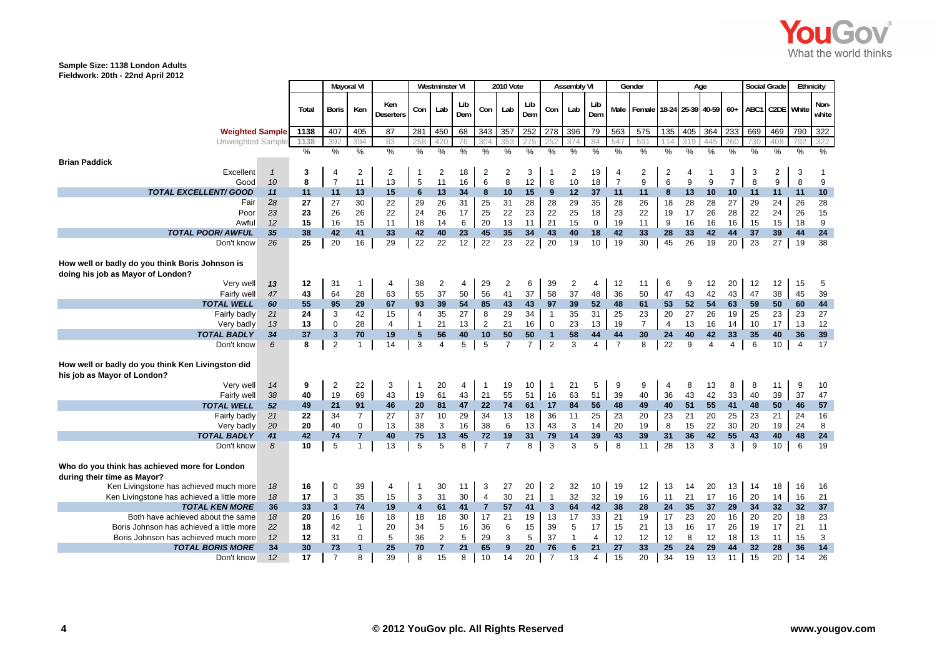

|                                                                                      |              |       |                | Mayoral VI     |                         |                 | <b>Westminster VI</b> |               |                | <b>2010 Vote</b> |                |                | <b>Assembly VI</b> |                |                | Gender                                      |                |               | Age           |                |               | <b>Social Grade</b> |                 | Ethnicity     |
|--------------------------------------------------------------------------------------|--------------|-------|----------------|----------------|-------------------------|-----------------|-----------------------|---------------|----------------|------------------|----------------|----------------|--------------------|----------------|----------------|---------------------------------------------|----------------|---------------|---------------|----------------|---------------|---------------------|-----------------|---------------|
|                                                                                      |              | Total | Boris          | Ken            | Ken<br><b>Deserters</b> | Con             | Lab                   | Lib<br>Dem    | Con            | Lab              | Lib<br>Dem     | Con            | Lab                | Lib<br>Dem     |                | Male   Female   18-24   25-39   40-59   60+ |                |               |               |                |               |                     | ABC1 C2DE White | Non-<br>white |
| <b>Weighted Sample</b>                                                               |              | 1138  | 407            | 405            | 87                      | 281             | 450                   | 68            | 343            | 357              | 252            | 278            | 396                | 79             | 563            | 575                                         | 135            | 405           | 364           | 233            | 669           | 469                 | 790             | 322           |
| Unweighted Sample                                                                    |              | 1138  | 392            | 394            | 83                      | 258             | 420                   | 76            | 304            | 35 <sub>1</sub>  |                |                |                    | 84             | 547            | 591                                         |                |               | 445           | 260            | 730           | 408                 |                 | 322           |
|                                                                                      |              | $\%$  | %              | $\%$           | $\frac{0}{0}$           | $\frac{0}{0}$   | %                     | $\frac{0}{0}$ | $\frac{0}{0}$  | %                | $\frac{0}{0}$  | %              | %                  | $\frac{0}{0}$  | $\frac{0}{0}$  | %                                           | $\frac{0}{0}$  | $\frac{0}{0}$ | $\frac{0}{0}$ | $\frac{0}{0}$  | $\frac{0}{0}$ | %                   | $\frac{0}{0}$   | $\frac{0}{2}$ |
| <b>Brian Paddick</b>                                                                 |              |       |                |                |                         |                 |                       |               |                |                  |                |                |                    |                |                |                                             |                |               |               |                |               |                     |                 |               |
| Excellent                                                                            | $\mathbf{1}$ | 3     | $\overline{4}$ | 2              | 2                       | 1               | 2                     | 18            | 2              | 2                | 3              | -1             | 2                  | 19             | $\overline{4}$ | 2                                           | 2              | 4             | -1            | 3              | 3             | 2                   | 3               |               |
| Good                                                                                 | 10           | 8     | $\overline{7}$ | 11             | 13                      | 5               | 11                    | 16            | 6              | 8                | 12             | 8              | 10                 | 18             | $\overline{7}$ | 9                                           | 6              | 9             | 9             | $\overline{7}$ | 8             | 9                   | 8               | 9             |
| <b>TOTAL EXCELLENT/ GOOD</b>                                                         | 11           | 11    | 11             | 13             | 15                      | 6               | 13                    | 34            | 8              | 10               | 15             | 9              | 12                 | 37             | 11             | 11                                          | 8              | 13            | 10            | 10             | 11            | 11                  | 11              | 10            |
| Fair                                                                                 | 28           | 27    | 27             | 30             | 22                      | 29              | 26                    | 31            | 25             | 31               | 28             | 28             | 29                 | 35             | 28             | 26                                          | 18             | 28            | 28            | 27             | 29            | 24                  | 26              | 28            |
| Poor                                                                                 | 23           | 23    | 26             | 26             | 22                      | 24              | 26                    | 17            | 25             | 22               | 23             | 22             | 25                 | 18             | 23             | 22                                          | 19             | 17            | 26            | 28             | 22            | 24                  | 26              | 15            |
| Awful                                                                                | 12           | 15    | 16             | 15             | 11                      | 18              | 14                    | 6             | 20             | 13               | 11             | 21             | 15                 | 0              | 19             | 11                                          | 9              | 16            | 16            | 16             | 15            | 15                  | 18              | 9             |
| <b>TOTAL POOR/ AWFUL</b>                                                             | 35           | 38    | 42             | 41             | 33                      | 42              | 40                    | 23            | 45             | 35               | 34             | 43             | 40                 | 18             | 42             | 33                                          | 28             | 33            | 42            | 44             | 37            | 39                  | 44              | 24            |
| Don't know                                                                           | 26           | 25    | 20             | 16             | 29                      | 22              | 22                    | 12            | 22             | 23               | 22             | 20             | 19                 | 10             | 19             | 30                                          | 45             | 26            | 19            | 20             | 23            | 27                  | 19              | 38            |
| How well or badly do you think Boris Johnson is<br>doing his job as Mayor of London? |              |       |                |                |                         |                 |                       |               |                |                  |                |                |                    |                |                |                                             |                |               |               |                |               |                     |                 |               |
| Very well                                                                            | 13           | 12    | 31             | 1              | $\overline{4}$          | 38              | $\overline{2}$        | 4             | 29             | $\overline{2}$   | 6              | 39             | 2                  | 4              | 12             | 11                                          | 6              | 9             | 12            | 20             | 12            | 12                  | 15              | 5             |
| Fairly well                                                                          | 47           | 43    | 64             | 28             | 63                      | 55              | 37                    | 50            | 56             | 41               | 37             | 58             | 37                 | 48             | 36             | 50                                          | 47             | 43            | 42            | 43             | 47            | 38                  | 45              | 39            |
| <b>TOTAL WELL</b>                                                                    | 60           | 55    | 95             | 29             | 67                      | 93              | 39                    | 54            | 85             | 43               | 43             | 97             | 39                 | 52             | 48             | 61                                          | 53             | 52            | 54            | 63             | 59            | 50                  | 60              | 44            |
| Fairly badly                                                                         | 21           | 24    | 3              | 42             | 15                      | 4               | 35                    | 27            | 8              | 29               | 34             | $\overline{1}$ | 35                 | 31             | 25             | 23                                          | 20             | 27            | 26            | 19             | 25            | 23                  | 23              | 27            |
| Very badly                                                                           | 13           | 13    | $\mathbf 0$    | 28             | $\overline{4}$          | $\overline{1}$  | 21                    | 13            | $\overline{2}$ | 21               | 16             | $\mathbf 0$    | 23                 | 13             | 19             | $\overline{7}$                              | $\overline{4}$ | 13            | 16            | 14             | 10            | 17                  | 13              | 12            |
| <b>TOTAL BADLY</b>                                                                   | 34           | 37    | 3              | 70             | 19                      | $5\phantom{.0}$ | 56                    | 40            | 10             | 50               | 50             | $\mathbf{1}$   | 58                 | 44             | 44             | 30                                          | 24             | 40            | 42            | 33             | 35            | 40                  | 36              | 39            |
| Don't know                                                                           | 6            | 8     | 2              | $\mathbf{1}$   | 14                      | 3               | $\overline{4}$        | 5             | 5              | $\overline{7}$   | $\overline{7}$ | $\overline{2}$ | 3                  | 4              | $\overline{7}$ | 8                                           | 22             | 9             | 4             | $\overline{4}$ | 6             | 10                  | $\overline{4}$  | 17            |
| How well or badly do you think Ken Livingston did<br>his job as Mayor of London?     |              |       |                |                |                         |                 |                       |               |                |                  |                |                |                    |                |                |                                             |                |               |               |                |               |                     |                 |               |
| Very well                                                                            | 14           | 9     | $\overline{2}$ | 22             | 3                       | $\overline{1}$  | 20                    | 4             | $\mathbf 1$    | 19               | 10             | $\overline{1}$ | 21                 | 5              | 9              | 9                                           | $\overline{4}$ | 8             | 13            | 8              | 8             | 11                  | 9               | 10            |
| Fairly well                                                                          | 38           | 40    | 19             | 69             | 43                      | 19              | 61                    | 43            | 21             | 55               | 51             | 16             | 63                 | 51             | 39             | 40                                          | 36             | 43            | 42            | 33             | 40            | 39                  | 37              | 47            |
| <b>TOTAL WELL</b>                                                                    | 52           | 49    | 21             | 91             | 46                      | 20              | 81                    | 47            | 22             | 74               | 61             | 17             | 84                 | 56             | 48             | 49                                          | 40             | 51            | 55            | 41             | 48            | 50                  | 46              | 57            |
| Fairly badly                                                                         | 21           | 22    | 34             | $\overline{7}$ | 27                      | 37              | 10                    | 29            | 34             | 13               | 18             | 36             | 11                 | 25             | 23             | 20                                          | 23             | 21            | 20            | 25             | 23            | 21                  | 24              | 16            |
| Very badly                                                                           | 20           | 20    | 40             | $\mathbf 0$    | 13                      | 38              | 3                     | 16            | 38             | 6                | 13             | 43             | 3                  | 14             | 20             | 19                                          | 8              | 15            | 22            | 30             | 20            | 19                  | 24              | 8             |
| <b>TOTAL BADLY</b>                                                                   | 41           | 42    | 74             |                | 40                      | 75              | 13                    | 45            | 72             | 19               | 31             | 79             | 14                 | 39             | 43             | 39                                          | 31             | 36            | 42            | 55             | 43            | 40                  | 48              | 24            |
| Don't know                                                                           | 8            | 10    | 5              | 1              | 13                      | 5               | 5                     | 8             | $\overline{7}$ | $\overline{7}$   | 8              | 3              | 3                  | 5              | 8              | 11                                          | 28             | 13            | 3             | 3 <sup>1</sup> | 9             | 10 <sup>1</sup>     | 6               | 19            |
| Who do you think has achieved more for London<br>during their time as Mayor?         |              |       |                |                |                         |                 |                       |               |                |                  |                |                |                    |                |                |                                             |                |               |               |                |               |                     |                 |               |
| Ken Livingstone has achieved much more                                               | 18           | 16    | 0              | 39             | $\overline{4}$          | -1              | 30                    | 11            | 3              | 27               | 20             | $\overline{2}$ | 32                 | 10             | 19             | 12                                          | 13             | 14            | 20            | 13             | 14            | 18                  | 16              | 16            |
| Ken Livingstone has achieved a little more                                           | 18           | 17    | 3              | 35             | 15                      | 3               | 31                    | 30            | $\overline{4}$ | 30               | 21             | $\overline{1}$ | 32                 | 32             | 19             | 16                                          | 11             | 21            | 17            | 16             | 20            | 14                  | 16              | 21            |
| <b>TOTAL KEN MORE</b>                                                                | 36           | 33    | $\mathbf{3}$   | 74             | 19                      | 4               | 61                    | 41            | $\overline{7}$ | 57               | 41             | 3              | 64                 | 42             | 38             | 28                                          | 24             | 35            | 37            | 29             | 34            | 32                  | 32              | 37            |
| Both have achieved about the same                                                    | 18           | 20    | 16             | 16             | 18                      | 18              | 18                    | 30            | 17             | 21               | 19             | 13             | 17                 | 33             | 21             | 19                                          | 17             | 23            | 20            | 16             | 20            | 20                  | 18              | 23            |
| Boris Johnson has achieved a little more                                             | 22           | 18    | 42             | $\mathbf{1}$   | 20                      | 34              | 5                     | 16            | 36             | 6                | 15             | 39             | 5                  | 17             | 15             | 21                                          | 13             | 16            | 17            | 26             | 19            | 17                  | 21              | 11            |
| Boris Johnson has achieved much more                                                 | 12           | 12    | 31             | 0              | 5                       | 36              | 2                     | 5             | 29             | 3                | 5              | 37             |                    | 4              | 12             | 12                                          | 12             | 8             | 12            | 18             | 13            | 11                  | 15              | 3             |
| <b>TOTAL BORIS MORE</b>                                                              | 34           | 30    | 73             | $\mathbf{1}$   | 25                      | 70              | $\overline{7}$        | 21            | 65             | 9                | 20             | 76             | 6                  | 21             | 27             | 33                                          | 25             | 24            | 29            | 44             | 32            | 28                  | 36              | 14            |
| Don't know                                                                           | 12           | 17    | $\overline{7}$ | 8              | 39                      | 8               | 15                    | 8             | 10             | 14               | 20             | $\overline{7}$ | 13                 | $\overline{4}$ | 15             | 20                                          | 34             | 19            | 13            | 11             | 15            | 20                  | 14              | 26            |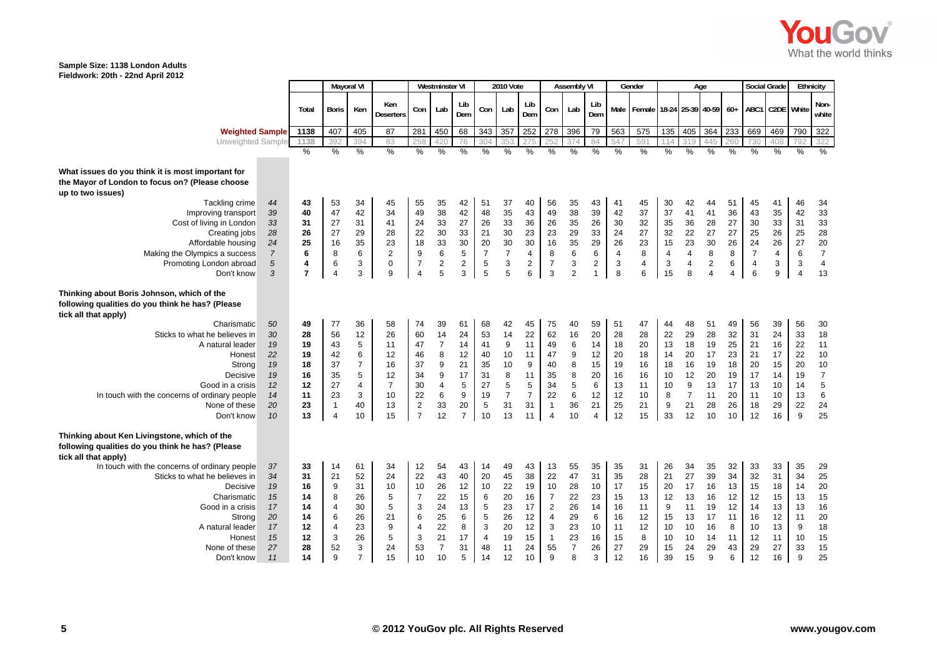

|                                                                                                                                             |                |                | <b>Mayoral VI</b>    |                     |                         |                         | <b>Westminster VI</b> |                |                | <b>2010 Vote</b>    |                |                           | <b>Assembly VI</b> |                |                | Gender                                      |                | Age            |                |                |                | Social Grade    | Ethnicity        |                        |
|---------------------------------------------------------------------------------------------------------------------------------------------|----------------|----------------|----------------------|---------------------|-------------------------|-------------------------|-----------------------|----------------|----------------|---------------------|----------------|---------------------------|--------------------|----------------|----------------|---------------------------------------------|----------------|----------------|----------------|----------------|----------------|-----------------|------------------|------------------------|
|                                                                                                                                             |                | Total          | <b>Boris</b>         | Ken                 | Ken<br><b>Deserters</b> | Con                     | Lab                   | Lib<br>Dem     | Con            | Lab                 | Lib<br>Dem     | Con                       | Lab                | Lib<br>Dem     |                | Male   Female   18-24   25-39   40-59   60+ |                |                |                |                |                | ABC1 C2DE White |                  | Non-<br>white          |
| <b>Weighted Sample</b>                                                                                                                      |                | 1138           | 407                  | 405                 | 87                      | 281                     | 450                   | 68             | 343            | 357                 | 252            | 278                       | 396                | 79             | 563            | 575                                         |                | 135 405        | 364            | 233            | 669            | 469             | 790              | 322                    |
| Unweighted Sample                                                                                                                           |                | 1138           | 392                  | 394                 | 83                      | 25i                     | 420                   | 76             | 304            | 353                 | 275            | 252                       | 374                | 84             | 547            | 591                                         |                | 319            | 445            | 260            | 730            | 408             |                  | 322                    |
|                                                                                                                                             |                | $\frac{1}{2}$  | $\frac{1}{2}$        | $\frac{9}{6}$       | $\frac{9}{6}$           | $\frac{9}{6}$           | %                     | %              | $\frac{0}{6}$  | $\%$                | $\frac{0}{0}$  | $\frac{0}{0}$             | $\frac{0}{0}$      | $\frac{0}{6}$  | $\frac{9}{6}$  | $\frac{0}{0}$                               | %              | $\frac{0}{0}$  | %              | %              | $\%$           | $\frac{0}{0}$   | $\frac{0}{0}$    | $\frac{0}{0}$          |
| What issues do you think it is most important for<br>the Mayor of London to focus on? (Please choose<br>up to two issues)<br>Tackling crime | 44             | 43             | 53                   | 34                  | 45                      | 55                      | 35                    | 42             | 51             | 37                  | 40             | 56                        | 35                 | 43             | 41             | 45                                          | 30             | 42             | 44             | 51             | 45             | 41              | 46               | 34                     |
| Improving transport                                                                                                                         | 39             | 40             | 47                   | 42                  | 34                      | 49                      | 38                    | 42             | 48             | 35                  | 43             | 49                        | 38                 | 39             | 42             | 37                                          | 37             | 41             | 41             | 36             | 43             | 35              | 42               | 33                     |
| Cost of living in London                                                                                                                    | 33             | 31             | 27                   | 31                  | 41                      | 24                      | 33                    | 27             | 26             | 33                  | 36             | 26                        | 35                 | 26             | 30             | 32                                          | 35             | 36             | 28             | 27             | 30             | 33              | 31               | 33                     |
| Creating jobs                                                                                                                               | 28             | 26             | 27                   | 29                  | 28                      | 22                      | 30                    | 33             | 21             | 30                  | 23             | 23                        | 29                 | 33             | 24             | 27                                          | 32             | 22             | 27             | 27             | 25             | 26              | 25               | 28                     |
| Affordable housing                                                                                                                          | 24             | 25             | 16                   | 35                  | 23                      | 18                      | 33                    | 30             | 20             | 30                  | 30             | 16                        | $35\,$             | 29             | 26             | 23                                          | 15             | 23             | 30             | 26             | 24             | 26              | 27               | 20                     |
| Making the Olympics a success                                                                                                               | $\overline{7}$ | 6              | 8                    | 6                   | $\overline{2}$          | $9\,$                   | 6                     | 5              | $\overline{7}$ | $\overline{7}$      | 4              | 8                         | 6                  | 6              | $\overline{4}$ | 8                                           | $\overline{4}$ | $\overline{4}$ | 8              | 8              | $\overline{7}$ | 4               | 6                | $\overline{7}$         |
| Promoting London abroad                                                                                                                     | 5              | 4              | 6                    | 3                   | 0                       | 7                       | 2                     | $\overline{c}$ | 5              | 3                   | 2              | $\overline{7}$            | 3                  | 2              | 3              | 4                                           | 3              | 4              | $\overline{2}$ | 6              | 4              | 3               | 3                | 4                      |
| Don't know                                                                                                                                  | 3              | $\overline{7}$ | $\overline{4}$       | 3                   | 9                       | $\overline{4}$          | 5                     | 3              | 5              | 5                   | 6              | 3                         | $\overline{2}$     | $\mathbf{1}$   | 8              | 6                                           | 15             | 8              | $\overline{4}$ | $\overline{4}$ | 6              | 9               | $\overline{4}$   | 13                     |
| Thinking about Boris Johnson, which of the<br>following qualities do you think he has? (Please<br>tick all that apply)                      |                |                |                      |                     |                         |                         |                       |                |                |                     |                |                           |                    |                |                |                                             |                |                |                |                |                |                 |                  |                        |
| Charismatic                                                                                                                                 | 50             | 49             | 77                   | 36                  | 58                      | 74                      | 39                    | 61             | 68             | 42                  | 45             | 75                        | 40                 | 59             | 51             | 47                                          | 44             | 48             | 51             | 49             | 56             | 39              | 56               | 30                     |
| Sticks to what he believes in                                                                                                               | 30             | 28             | 56                   | 12                  | 26                      | 60                      | 14                    | 24             | 53             | 14                  | 22             | 62                        | 16                 | 20             | 28             | 28                                          | 22             | 29             | 28             | 32             | 31             | 24              | 33               | 18                     |
| A natural leader                                                                                                                            | 19             | 19             | 43                   | 5                   | 11                      | 47                      | $\overline{7}$        | 14             | 41             | 9                   | 11             | 49                        | 6                  | 14             | 18             | 20                                          | 13             | 18             | 19             | 25             | 21             | 16              | 22               | 11                     |
| Honest                                                                                                                                      | 22             | 19             | 42                   | 6                   | 12                      | 46                      | 8                     | 12             | 40             | 10                  | 11             | 47                        | 9                  | 12             | 20             | 18                                          | 14             | 20             | 17             | 23             | 21             | 17              | 22               | 10                     |
| Strong                                                                                                                                      | 19             | 18             | 37                   | $\overline{7}$      | 16                      | 37                      | 9                     | 21             | 35             | 10                  | 9              | 40                        | 8                  | 15             | 19             | 16                                          | 18             | 16             | 19             | 18             | 20             | 15              | 20               | 10                     |
| Decisive                                                                                                                                    | 19<br>12       | 16<br>12       | 35<br>27             | 5<br>$\overline{4}$ | 12<br>7                 | 34<br>30                | 9<br>$\overline{4}$   | 17<br>5        | 31             | 8                   | 11<br>5        | 35<br>34                  | 8<br>$\sqrt{5}$    | 20<br>6        | 16             | 16                                          | 10             | 12<br>9        | 20<br>13       | 19<br>17       | 17<br>13       | 14              | 19               | $\boldsymbol{7}$       |
| Good in a crisis<br>In touch with the concerns of ordinary people                                                                           | 14             | 11             |                      | 3                   | 10                      | 22                      | 6                     | 9              | 27<br>19       | 5<br>$\overline{7}$ | $\overline{7}$ | 22                        | 6                  | 12             | 13<br>12       | 11<br>10                                    | 10<br>8        | $\overline{7}$ | 11             | 20             | 11             | 10<br>10        | 14<br>13         | $\,$ 5 $\,$<br>$\,6\,$ |
| None of these                                                                                                                               | 20             | 23             | 23<br>$\overline{1}$ | 40                  | 13                      | $\sqrt{2}$              | 33                    | 20             | 5              | 31                  | 31             | $\mathbf{1}$              | 36                 | 21             | 25             | 21                                          | 9              | 21             | 28             | 26             | 18             | 29              | 22               | 24                     |
| Don't know                                                                                                                                  | 10             | 13             | $\overline{4}$       | 10                  | 15                      | $\overline{7}$          | 12                    | $\overline{7}$ | 10             | 13                  | 11             | $\overline{4}$            | 10                 | $\overline{4}$ | 12             | 15                                          | 33             | 12             | 10             | 10             | 12             | 16              | $\boldsymbol{9}$ | 25                     |
|                                                                                                                                             |                |                |                      |                     |                         |                         |                       |                |                |                     |                |                           |                    |                |                |                                             |                |                |                |                |                |                 |                  |                        |
| Thinking about Ken Livingstone, which of the<br>following qualities do you think he has? (Please<br>tick all that apply)                    |                |                |                      |                     |                         |                         |                       |                |                |                     |                |                           |                    |                |                |                                             |                |                |                |                |                |                 |                  |                        |
| In touch with the concerns of ordinary people                                                                                               | 37             | 33             | 14                   | 61                  | 34                      | 12                      | 54                    | 43             | 14             | 49                  | 43             | 13                        | 55                 | 35             | 35             | 31                                          | 26             | 34             | 35             | 32             | 33             | 33              | 35               | 29                     |
| Sticks to what he believes in                                                                                                               | 34             | 31             | 21                   | 52                  | 24                      | 22                      | 43                    | 40             | 20             | 45                  | 38             | 22                        | 47                 | 31             | 35             | 28                                          | 21             | 27             | 39             | 34             | 32             | 31              | 34               | 25                     |
| Decisive                                                                                                                                    | 19             | 16             | 9                    | 31                  | 10                      | 10                      | 26                    | 12             | 10             | 22                  | 19             | 10                        | 28                 | 10             | 17             | 15                                          | 20             | 17             | 16             | 13             | 15             | 18              | 14               | 20                     |
| Charismatic                                                                                                                                 | 15             | 14             | 8                    | 26                  | 5                       | $\overline{7}$          | 22                    | 15             | 6              | 20                  | 16             | $\overline{7}$            | 22                 | 23             | 15             | 13                                          | 12             | 13             | 16             | 12             | 12             | 15              | 13               | 15                     |
| Good in a crisis                                                                                                                            | 17             | 14             | 4                    | 30                  | 5                       | 3                       | 24                    | 13             | 5              | 23                  | 17             | $\overline{\mathbf{c}}$   | 26                 | 14             | 16             | 11                                          | 9              | 11             | 19             | 12             | 14             | 13              | 13               | 16                     |
| Strong                                                                                                                                      | 20             | 14             | 6                    | 26                  | 21                      | 6                       | 25                    | 6              | 5              | 26                  | 12             | $\overline{4}$            | 29                 | 6              | 16             | 12                                          | 15             | 13             | 17             | 11             | 16             | 12              | 11               | 20                     |
| A natural leader                                                                                                                            | 17             | 12             | 4                    | 23                  | 9                       | $\overline{\mathbf{4}}$ | 22                    | 8              | 3              | 20                  | 12             | $\ensuremath{\mathsf{3}}$ | 23                 | 10             | 11             | 12                                          | 10             | 10             | 16             | 8              | 10             | 13              | 9                | 18                     |
| Honest                                                                                                                                      | 15             | 12             | 3                    | 26                  | 5                       | $\sqrt{3}$              | 21                    | 17             | $\overline{4}$ | 19                  | 15             | $\mathbf{1}$              | 23                 | 16             | 15             | 8                                           | 10             | 10             | 14             | 11             | 12             | 11              | 10               | 15                     |
| None of these                                                                                                                               | 27             | 28             | 52                   | $\mathsf 3$         | 24                      | 53                      | $\overline{7}$        | 31             | 48             | 11                  | 24             | 55                        | $\overline{7}$     | 26             | 27             | 29                                          | 15             | 24             | 29             | 43             | 29             | 27              | 33               | 15                     |
| Don't know                                                                                                                                  | 11             | 14             | 9                    | $\overline{7}$      | 15                      | 10                      | 10                    | 5              | 14             | 12                  | 10             | 9                         | 8                  | 3              | 12             | 16                                          | 39             | 15             | 9              | 6              | 12             | 16              | 9                | 25                     |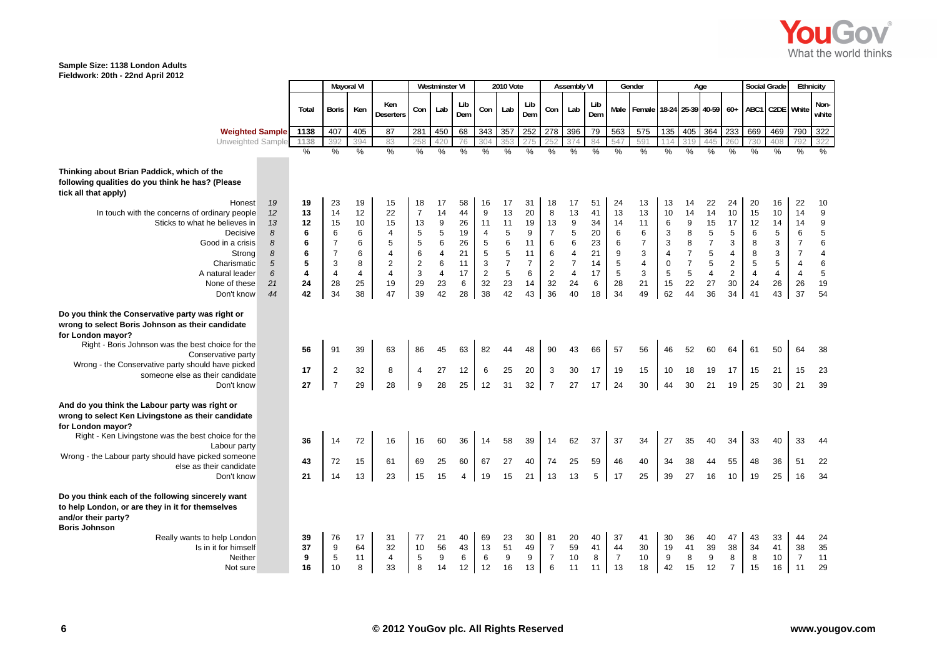

|                                                                                                                                                                                                                                                                                                            |                                   |                                   |                                                                          | <b>Mayoral VI</b>                 |                                                                          |                                                                        | <b>Westminster VI</b>                                                                                            |                                        |                                                                           | <b>2010 Vote</b>                                                                 |                                                                       |                                                                             | <b>Assembly VI</b>                                                        |                                        |                                            | Gender                                                                     |                                                                                        | Age                                                                                         |                                                                           |                                                                                | <b>Social Grade</b>                                               |                                                                                       | Ethnicity                                                                             |                                                              |
|------------------------------------------------------------------------------------------------------------------------------------------------------------------------------------------------------------------------------------------------------------------------------------------------------------|-----------------------------------|-----------------------------------|--------------------------------------------------------------------------|-----------------------------------|--------------------------------------------------------------------------|------------------------------------------------------------------------|------------------------------------------------------------------------------------------------------------------|----------------------------------------|---------------------------------------------------------------------------|----------------------------------------------------------------------------------|-----------------------------------------------------------------------|-----------------------------------------------------------------------------|---------------------------------------------------------------------------|----------------------------------------|--------------------------------------------|----------------------------------------------------------------------------|----------------------------------------------------------------------------------------|---------------------------------------------------------------------------------------------|---------------------------------------------------------------------------|--------------------------------------------------------------------------------|-------------------------------------------------------------------|---------------------------------------------------------------------------------------|---------------------------------------------------------------------------------------|--------------------------------------------------------------|
|                                                                                                                                                                                                                                                                                                            |                                   | Total                             | <b>Boris</b>                                                             | Ken                               | Ken<br><b>Deserters</b>                                                  | Con                                                                    | Lab                                                                                                              | Lib<br>Dem                             | Con                                                                       | Lab                                                                              | Lib<br>Dem                                                            | Con                                                                         | Lab                                                                       | Lib<br>Dem                             |                                            | Male   Female   18-24   25-39   40-59   60+                                |                                                                                        |                                                                                             |                                                                           |                                                                                |                                                                   | ABC1 C2DE White                                                                       |                                                                                       | Non-<br>white                                                |
| <b>Weighted Sample</b>                                                                                                                                                                                                                                                                                     |                                   | 1138                              | 407                                                                      | 405                               | 87                                                                       | 281                                                                    | 450                                                                                                              | 68                                     | 343                                                                       | 357                                                                              | 252                                                                   | 278                                                                         | 396                                                                       | 79                                     | 563                                        | 575                                                                        | 135                                                                                    | 405                                                                                         | 364                                                                       | 233                                                                            | 669                                                               | 469                                                                                   | 790                                                                                   | 322                                                          |
| Unweighted Sample                                                                                                                                                                                                                                                                                          |                                   | 1138                              | 392                                                                      | 394                               | 83                                                                       | 258                                                                    | 420                                                                                                              | 76                                     | 304                                                                       | 35 <sup>′</sup>                                                                  | 275                                                                   |                                                                             | 374                                                                       | 84                                     | 547                                        | 591                                                                        |                                                                                        | 319                                                                                         | 445                                                                       | 260                                                                            | 730                                                               | 408                                                                                   | 792                                                                                   | 322                                                          |
|                                                                                                                                                                                                                                                                                                            |                                   | $\frac{0}{6}$                     | $\frac{9}{6}$                                                            | $\frac{9}{6}$                     | $\frac{9}{6}$                                                            | $\frac{9}{6}$                                                          | $\frac{9}{6}$                                                                                                    | $\frac{0}{0}$                          | $\frac{9}{6}$                                                             | %                                                                                | $\frac{9}{6}$                                                         | %                                                                           | $\frac{9}{6}$                                                             | $\frac{9}{6}$                          | $\frac{0}{0}$                              | $\frac{9}{6}$                                                              | $\frac{9}{6}$                                                                          | $\frac{9}{6}$                                                                               | $\frac{9}{6}$                                                             | $\frac{9}{6}$                                                                  | $\frac{9}{6}$                                                     | %                                                                                     | $\frac{0}{2}$                                                                         | $\frac{0}{0}$                                                |
| Thinking about Brian Paddick, which of the<br>following qualities do you think he has? (Please<br>tick all that apply)<br>Honest                                                                                                                                                                           | 19                                | 19                                | 23                                                                       | 19                                | 15                                                                       | 18                                                                     | 17                                                                                                               | 58                                     | 16                                                                        | 17                                                                               | 31                                                                    | 18                                                                          | 17                                                                        | 51                                     | 24                                         | 13                                                                         | 13                                                                                     | 14                                                                                          | 22                                                                        | 24                                                                             | 20                                                                | 16                                                                                    | 22                                                                                    | 10                                                           |
| In touch with the concerns of ordinary people<br>Sticks to what he believes in<br>Decisive<br>Good in a crisis<br>Strong<br>Charismatic<br>A natural leader                                                                                                                                                | 12<br>13<br>8<br>8<br>8<br>5<br>6 | 13<br>12<br>6<br>6<br>6<br>5<br>4 | 14<br>15<br>6<br>$\overline{7}$<br>$\overline{7}$<br>3<br>$\overline{4}$ | 12<br>10<br>6<br>6<br>6<br>8<br>4 | 22<br>15<br>4<br>5<br>$\overline{4}$<br>$\overline{2}$<br>$\overline{4}$ | $\overline{7}$<br>13<br>5<br>5<br>6<br>$\boldsymbol{2}$<br>$\mathsf 3$ | 14<br>$\boldsymbol{9}$<br>$\overline{5}$<br>$6\phantom{1}$<br>$\overline{4}$<br>$6\phantom{1}$<br>$\overline{4}$ | 44<br>26<br>19<br>26<br>21<br>11<br>17 | 9<br>11<br>$\overline{4}$<br>5<br>$\sqrt{5}$<br>$\mathsf 3$<br>$\sqrt{2}$ | 13<br>11<br>$\mathbf 5$<br>$\,6$<br>$\sqrt{5}$<br>$\boldsymbol{7}$<br>$\sqrt{5}$ | 20<br>19<br>$\boldsymbol{9}$<br>11<br>11<br>$\overline{7}$<br>$\,6\,$ | 8<br>13<br>$\overline{7}$<br>6<br>$\,6\,$<br>$\boldsymbol{2}$<br>$\sqrt{2}$ | 13<br>$\boldsymbol{9}$<br>5<br>6<br>$\overline{4}$<br>$\overline{7}$<br>4 | 41<br>34<br>20<br>23<br>21<br>14<br>17 | 13<br>14<br>6<br>6<br>9<br>5<br>$\sqrt{5}$ | 13<br>11<br>$\,6$<br>$\overline{7}$<br>$\mathbf{3}$<br>$\overline{4}$<br>3 | 10<br>$\,6\,$<br>3<br>$\sqrt{3}$<br>$\overline{\mathbf{4}}$<br>$\pmb{0}$<br>$\sqrt{5}$ | 14<br>$\boldsymbol{9}$<br>8<br>8<br>$\overline{7}$<br>$\overline{\mathbf{7}}$<br>$\sqrt{5}$ | 14<br>15<br>$\sqrt{5}$<br>$\overline{7}$<br>5<br>$\sqrt{5}$<br>$\sqrt{4}$ | 10<br>17<br>$\,$ 5 $\,$<br>3<br>$\overline{4}$<br>$\overline{2}$<br>$\sqrt{2}$ | 15<br>12<br>6<br>8<br>8<br>$\mathbf 5$<br>$\overline{\mathbf{4}}$ | 10<br>14<br>$\,$ 5 $\,$<br>3<br>$\mathsf 3$<br>$\mathbf 5$<br>$\overline{\mathbf{4}}$ | 14<br>14<br>6<br>$\overline{7}$<br>$\overline{7}$<br>$\overline{4}$<br>$\overline{4}$ | $\boldsymbol{9}$<br>9<br>5<br>6<br>4<br>$\, 6$<br>$\sqrt{5}$ |
| None of these                                                                                                                                                                                                                                                                                              | 21                                | 24                                | 28                                                                       | 25                                | 19                                                                       | 29                                                                     | 23                                                                                                               | 6                                      | 32                                                                        | 23                                                                               | 14                                                                    | 32                                                                          | 24                                                                        | 6                                      | 28                                         | 21                                                                         | 15                                                                                     | 22                                                                                          | 27                                                                        | 30                                                                             | 24                                                                | 26                                                                                    | 26                                                                                    | 19                                                           |
| Don't know                                                                                                                                                                                                                                                                                                 | 44                                | 42                                | 34                                                                       | 38                                | 47                                                                       | 39                                                                     | 42                                                                                                               | 28                                     | 38                                                                        | 42                                                                               | 43                                                                    | 36                                                                          | 40                                                                        | 18                                     | 34                                         | 49                                                                         | 62                                                                                     | 44                                                                                          | 36                                                                        | 34                                                                             | 41                                                                | 43                                                                                    | 37                                                                                    | 54                                                           |
| Do you think the Conservative party was right or<br>wrong to select Boris Johnson as their candidate<br>for London mayor?<br>Right - Boris Johnson was the best choice for the<br>Conservative party<br>Wrong - the Conservative party should have picked<br>someone else as their candidate<br>Don't know |                                   | 56<br>17<br>27                    | 91<br>$\overline{2}$<br>$\overline{7}$                                   | 39<br>32<br>29                    | 63<br>8<br>28                                                            | 86<br>4<br>9                                                           | 45<br>27<br>28                                                                                                   | 63<br>12<br>25                         | 82<br>6<br>12                                                             | 44<br>25<br>31                                                                   | 48<br>20<br>32                                                        | 90<br>3<br>$\overline{7}$                                                   | 43<br>30<br>27                                                            | 66<br>17<br>17                         | 57<br>19<br>24                             | 56<br>15<br>30                                                             | 46<br>10<br>44                                                                         | 52<br>18<br>30                                                                              | 60<br>19<br>21                                                            | 64<br>17<br>19                                                                 | 61<br>15<br>25                                                    | 50<br>21<br>30                                                                        | 64<br>15<br>21                                                                        | 38<br>23<br>39                                               |
| And do you think the Labour party was right or<br>wrong to select Ken Livingstone as their candidate<br>for London mayor?<br>Right - Ken Livingstone was the best choice for the<br>Labour party                                                                                                           |                                   | 36                                | 14                                                                       | 72                                | 16                                                                       | 16                                                                     | 60                                                                                                               | 36                                     | 14                                                                        | 58                                                                               | 39                                                                    | 14                                                                          | 62                                                                        | 37                                     | 37                                         | 34                                                                         | 27                                                                                     | 35                                                                                          | 40                                                                        | 34                                                                             | 33                                                                | 40                                                                                    | 33                                                                                    | 44                                                           |
| Wrong - the Labour party should have picked someone                                                                                                                                                                                                                                                        |                                   | 43                                | 72                                                                       | 15                                | 61                                                                       | 69                                                                     | 25                                                                                                               | 60                                     | 67                                                                        | 27                                                                               | 40                                                                    | 74                                                                          | 25                                                                        | 59                                     | 46                                         | 40                                                                         | 34                                                                                     | 38                                                                                          | 44                                                                        | 55                                                                             | 48                                                                | 36                                                                                    | 51                                                                                    | 22                                                           |
| else as their candidate<br>Don't know                                                                                                                                                                                                                                                                      |                                   | 21                                | 14                                                                       | 13                                | 23                                                                       | 15                                                                     | 15                                                                                                               | 4                                      | 19                                                                        | 15                                                                               | 21                                                                    | 13                                                                          | 13                                                                        | 5                                      | 17                                         | 25                                                                         | 39                                                                                     | 27                                                                                          | 16                                                                        | 10                                                                             | 19                                                                | 25                                                                                    | 16                                                                                    | 34                                                           |
|                                                                                                                                                                                                                                                                                                            |                                   |                                   |                                                                          |                                   |                                                                          |                                                                        |                                                                                                                  |                                        |                                                                           |                                                                                  |                                                                       |                                                                             |                                                                           |                                        |                                            |                                                                            |                                                                                        |                                                                                             |                                                                           |                                                                                |                                                                   |                                                                                       |                                                                                       |                                                              |
| Do you think each of the following sincerely want<br>to help London, or are they in it for themselves<br>and/or their party?<br><b>Boris Johnson</b>                                                                                                                                                       |                                   |                                   |                                                                          |                                   |                                                                          |                                                                        |                                                                                                                  |                                        |                                                                           |                                                                                  |                                                                       |                                                                             |                                                                           |                                        |                                            |                                                                            |                                                                                        |                                                                                             |                                                                           |                                                                                |                                                                   |                                                                                       |                                                                                       |                                                              |
| Really wants to help London                                                                                                                                                                                                                                                                                |                                   | 39                                | 76                                                                       | 17                                | 31                                                                       | 77                                                                     | 21                                                                                                               | 40                                     | 69                                                                        | 23                                                                               | 30                                                                    | 81                                                                          | 20                                                                        | 40                                     | 37                                         | 41                                                                         | 30                                                                                     | 36                                                                                          | 40                                                                        | 47                                                                             | 43                                                                | 33                                                                                    | 44                                                                                    | 24                                                           |
| Is in it for himself<br>Neither                                                                                                                                                                                                                                                                            |                                   | 37<br>9                           | 9<br>5                                                                   | 64<br>11                          | 32<br>4                                                                  | 10<br>5                                                                | 56<br>$9\,$                                                                                                      | 43<br>6                                | 13<br>6                                                                   | 51<br>9                                                                          | 49<br>$9\,$                                                           | $\overline{7}$<br>$\overline{7}$                                            | 59<br>10                                                                  | 41<br>8                                | 44<br>$\overline{7}$                       | 30<br>10                                                                   | 19<br>9                                                                                | 41<br>8                                                                                     | 39<br>$\boldsymbol{9}$                                                    | 38<br>8                                                                        | 34<br>8                                                           | 41<br>10                                                                              | 38<br>$\overline{7}$                                                                  | 35<br>11                                                     |
| Not sure                                                                                                                                                                                                                                                                                                   |                                   | 16                                | 10                                                                       | 8                                 | 33                                                                       | 8                                                                      | 14                                                                                                               | 12                                     | 12                                                                        | 16                                                                               | 13                                                                    | 6                                                                           | 11                                                                        | 11                                     | 13                                         | 18                                                                         | 42                                                                                     | 15                                                                                          | 12                                                                        | $\overline{7}$                                                                 | 15                                                                | 16                                                                                    | 11                                                                                    | 29                                                           |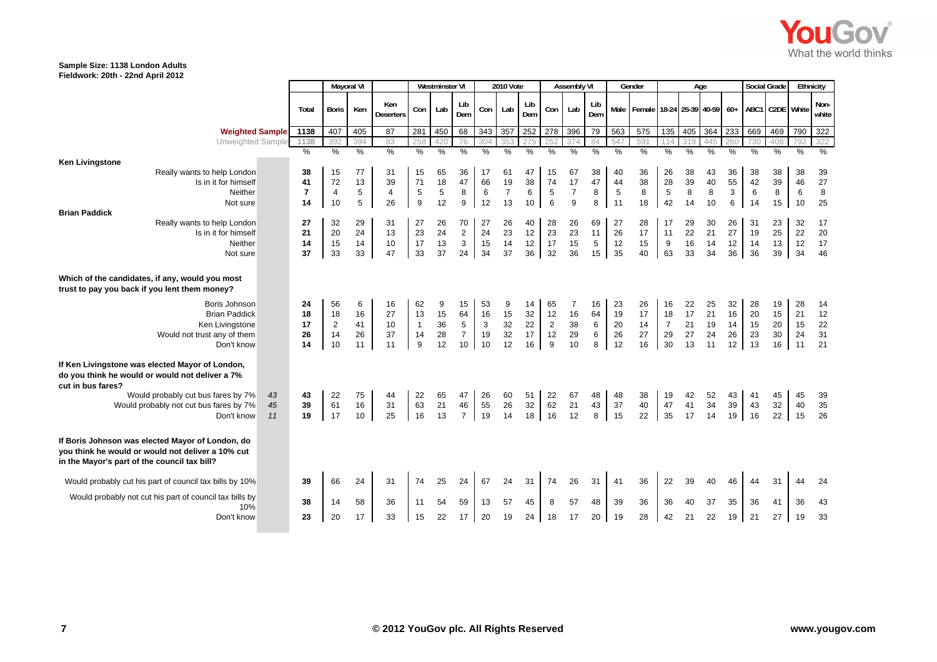

|                                                                                                                                                                                                                       |                |                                       | <b>Mayoral VI</b>                        |                                     |                                                   |                                     | <b>Westminster VI</b>              |                                             |                                      | <b>2010 Vote</b>                                  |                                      |                                       | <b>Assembly VI</b>                   |                         |                                                | Gender                            |                                        | Age                                  |                                           |                                                             | <b>Social Grade</b>                    |                                      | Ethnicity                            |                                            |
|-----------------------------------------------------------------------------------------------------------------------------------------------------------------------------------------------------------------------|----------------|---------------------------------------|------------------------------------------|-------------------------------------|---------------------------------------------------|-------------------------------------|------------------------------------|---------------------------------------------|--------------------------------------|---------------------------------------------------|--------------------------------------|---------------------------------------|--------------------------------------|-------------------------|------------------------------------------------|-----------------------------------|----------------------------------------|--------------------------------------|-------------------------------------------|-------------------------------------------------------------|----------------------------------------|--------------------------------------|--------------------------------------|--------------------------------------------|
|                                                                                                                                                                                                                       |                | Total                                 | <b>Boris</b>                             | Ken                                 | Ken<br><b>Deserters</b>                           | Con                                 | Lab                                | Lib<br>Dem                                  | Con                                  | Lab                                               | Lib<br>Dem                           | Con                                   | Lab                                  | Lib<br>Dem              |                                                | Male Female 18-24 25-39 40-59 60+ |                                        |                                      |                                           |                                                             |                                        | ABC1 C2DE White                      |                                      | Non-<br>white                              |
| <b>Weighted Sample</b>                                                                                                                                                                                                |                | 1138                                  | 407                                      | 405                                 | 87                                                | 281                                 | 450                                | 68                                          | 343                                  | 357                                               | 252                                  | 278                                   | 396                                  | 79                      | 563                                            | 575                               | 135                                    | 405                                  | 364                                       | 233                                                         | 669                                    | 469                                  | 790                                  | 322                                        |
| Unweighted Sample                                                                                                                                                                                                     |                | 1138                                  | 392                                      | 394                                 | 83                                                |                                     | 420                                | 76                                          | 304                                  | 35.                                               |                                      |                                       | 374                                  | 84                      | 547                                            | 591                               |                                        | 319                                  | 445                                       | 260                                                         | 730                                    | 408                                  |                                      | 322                                        |
| <b>Ken Livingstone</b><br>Really wants to help London<br>Is in it for himself<br>Neither<br>Not sure                                                                                                                  |                | %<br>38<br>41<br>$\overline{7}$<br>14 | $\%$<br>15<br>72<br>$\overline{4}$<br>10 | $\frac{0}{0}$<br>77<br>13<br>5<br>5 | $\frac{0}{0}$<br>31<br>39<br>$\overline{4}$<br>26 | %<br>15<br>71<br>$\mathbf 5$<br>9   | %<br>65<br>18<br>$\,$ 5 $\,$<br>12 | %<br>36<br>47<br>8<br>9                     | $\%$<br>17<br>66<br>6<br>12          | $\frac{0}{0}$<br>61<br>19<br>$\overline{7}$<br>13 | $\frac{0}{0}$<br>47<br>38<br>6<br>10 | %<br>15<br>74<br>5<br>6               | %<br>67<br>17<br>$\overline{7}$<br>9 | %<br>38<br>47<br>8<br>8 | $\frac{0}{0}$<br>40<br>44<br>$\,$ 5 $\,$<br>11 | %<br>36<br>38<br>$\bf8$<br>18     | %<br>26<br>28<br>$\,$ 5 $\,$<br>42     | $\frac{0}{6}$<br>38<br>39<br>8<br>14 | $\frac{0}{2}$<br>43<br>40<br>$\bf8$<br>10 | $\frac{0}{0}$<br>36<br>55<br>$\ensuremath{\mathsf{3}}$<br>6 | %<br>38<br>42<br>$6\phantom{1}6$<br>14 | $\frac{0}{0}$<br>38<br>39<br>8<br>15 | $\frac{0}{0}$<br>38<br>46<br>6<br>10 | $\frac{0}{0}$<br>39<br>27<br>$\bf 8$<br>25 |
| <b>Brian Paddick</b><br>Really wants to help London<br>Is in it for himself<br>Neither<br>Not sure                                                                                                                    |                | 27<br>21<br>14<br>37                  | 32<br>20<br>15<br>33                     | 29<br>24<br>14<br>33                | 31<br>13<br>10<br>47                              | 27<br>23<br>17<br>33                | 26<br>24<br>13<br>37               | 70<br>$\boldsymbol{2}$<br>$\mathbf 3$<br>24 | 27<br>24<br>15<br>34                 | 26<br>23<br>14<br>37                              | 40<br>12<br>12<br>36                 | 28<br>23<br>17<br>32                  | 26<br>23<br>15<br>36                 | 69<br>11<br>5<br>15     | 27<br>26<br>12<br>35                           | 28<br>17<br>15<br>40              | 17<br>11<br>9<br>63                    | 29<br>22<br>16<br>33                 | 30<br>21<br>14<br>34                      | 26<br>27<br>12<br>36                                        | 31<br>19<br>14<br>36                   | 23<br>25<br>13<br>39                 | 32<br>22<br>12<br>34                 | 17<br>20<br>17<br>46                       |
| Which of the candidates, if any, would you most<br>trust to pay you back if you lent them money?<br>Boris Johnson<br><b>Brian Paddick</b><br>Ken Livingstone<br>Would not trust any of them<br>Don't know             |                | 24<br>18<br>17<br>26<br>14            | 56<br>18<br>2<br>14<br>10                | 6<br>16<br>41<br>26<br>11           | 16<br>27<br>10<br>37<br>11                        | 62<br>13<br>$\mathbf{1}$<br>14<br>9 | 9<br>15<br>36<br>28<br>12          | 15<br>64<br>5<br>$\boldsymbol{7}$<br>10     | 53<br>16<br>$\mathbf{3}$<br>19<br>10 | 9<br>15<br>32<br>32<br>12                         | 14<br>32<br>22<br>17<br>16           | 65<br>12<br>$\overline{2}$<br>12<br>9 | 16<br>38<br>29<br>10                 | 16<br>64<br>6<br>6<br>8 | 23<br>19<br>20<br>26<br>12                     | 26<br>17<br>14<br>27<br>16        | 16<br>18<br>$\overline{7}$<br>29<br>30 | 22<br>17<br>21<br>27<br>13           | 25<br>21<br>19<br>24<br>11                | 32<br>16<br>14<br>26<br>12                                  | 28<br>20<br>15<br>23<br>13             | 19<br>15<br>20<br>30<br>16           | 28<br>21<br>15<br>24<br>11           | 14<br>12<br>22<br>31<br>21                 |
| If Ken Livingstone was elected Mayor of London,<br>do you think he would or would not deliver a 7%<br>cut in bus fares?<br>Would probably cut bus fares by 7%<br>Would probably not cut bus fares by 7%<br>Don't know | 43<br>45<br>11 | 43<br>39<br>19                        | 22<br>61<br>17                           | 75<br>16<br>10                      | 44<br>31<br>25                                    | 22<br>63<br>16                      | 65<br>21<br>13                     | 47<br>46<br>$\overline{7}$                  | 26<br>55<br>19                       | 60<br>26<br>14                                    | 51<br>32<br>18                       | 22<br>62<br>16                        | 67<br>21<br>12                       | 48<br>43<br>8           | 48<br>37<br>15                                 | 38<br>40<br>22                    | 19<br>47<br>35                         | 42<br>41<br>17                       | 52<br>34<br>14                            | 43<br>39<br>19                                              | 41<br>43<br>16                         | 45<br>32<br>22                       | 45<br>40<br>15                       | 39<br>35<br>26                             |
| If Boris Johnson was elected Mayor of London, do<br>you think he would or would not deliver a 10% cut<br>in the Mayor's part of the council tax bill?                                                                 |                |                                       |                                          |                                     |                                                   |                                     |                                    |                                             |                                      |                                                   |                                      |                                       |                                      |                         |                                                |                                   |                                        |                                      |                                           |                                                             |                                        |                                      |                                      |                                            |
| Would probably cut his part of council tax bills by 10%<br>Would probably not cut his part of council tax bills by<br>10%                                                                                             |                | 39<br>38                              | 66<br>14                                 | 24<br>58                            | 31<br>36                                          | 74<br>11                            | 25<br>54                           | 24<br>59                                    | 67<br>13                             | 24<br>57                                          | 31<br>45                             | 74<br>8                               | 26<br>57                             | 31<br>48                | 41<br>39                                       | 36<br>36                          | 22<br>36                               | 39<br>40                             | 40<br>37                                  | 46<br>35                                                    | 44<br>36                               | 31<br>41                             | 44<br>36                             | 24<br>43                                   |
| Don't know                                                                                                                                                                                                            |                | 23                                    | 20                                       | 17                                  | 33                                                | 15                                  | 22                                 | 17                                          | 20                                   | 19                                                | 24                                   | 18                                    | 17                                   | 20                      | 19                                             | 28                                | 42                                     | 21                                   | 22                                        | 19                                                          | 21                                     | 27                                   | 19                                   | 33                                         |